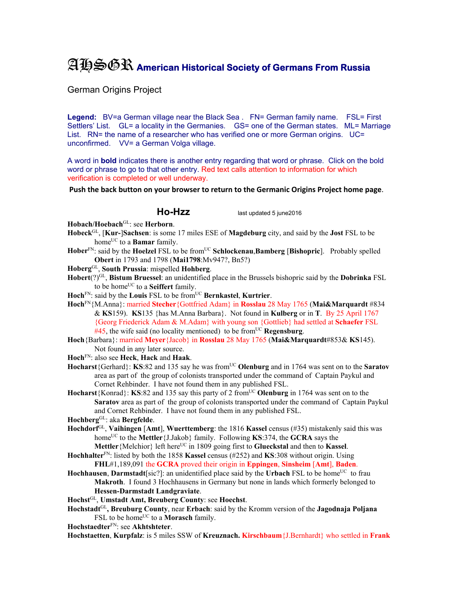## AHSGR **American Historical Society of Germans From Russia**

German Origins Project

Legend: BV=a German village near the Black Sea . FN= German family name. FSL= First Settlers' List. GL= a locality in the Germanies. GS= one of the German states. ML= Marriage List. RN= the name of a researcher who has verified one or more German origins. UC= unconfirmed. VV= a German Volga village.

A word in **bold** indicates there is another entry regarding that word or phrase. Click on the bold word or phrase to go to that other entry. Red text calls attention to information for which verification is completed or well underway.

**Push the back button on your browser to return to the Germanic Origins Project home page**.

**Ho-Hzz** last updated 5 june2016

**Hobach/Hoebach**GL: see **Herborn**.

- **Hobeck**GL, [**Kur-**]**Sachsen**: is some 17 miles ESE of **Magdeburg** city, and said by the **Jost** FSL to be homeUC to a **Bamar** family.
- **Hober**FN: said by the **Hoelzel** FSL to be fromUC **Schlockenau**,**Bamberg** [**Bishopric**]. Probably spelled **Obert** in 1793 and 1798 (**Mai1798**:Mv947?, Bn5?)

**Hoberg**GL, **South Prussia**: mispelled **Hohberg**.

**Hobert**(?)GL, **Bistum Bruessel**: an unidentified place in the Brussels bishopric said by the **Dobrinka** FSL to be home<sup>UC</sup> to a **Seiffert** family.

Hoch<sup>FN</sup>: said by the Louis FSL to be from<sup>UC</sup> Bernkastel, Kurtrier.

**Hoch**FN{M.Anna}: married **Stecher**{Gottfried Adam} in **Rosslau** 28 May 1765 (**Mai&Marquardt** #834 & **KS**159). **KS**135 {has M.Anna Barbara}. Not found in **Kulberg** or in **T**.By 25 April 1767 {Georg Friederick Adam & M.Adam} with young son {Gottlieb} had settled at **Schaefer** FSL  $#45$ , the wife said (no locality mentioned) to be from<sup>UC</sup> **Regensburg**.

- **Hoch**{Barbara}: married **Meyer**{Jacob} in **Rosslau** 28 May 1765 (**Mai&Marquardt**#853& **KS**145). Not found in any later source.
- **Hoch**FN: also see **Heck**, **Hack** and **Haak**.

**Hocharst**{Gerhard}: **KS**:82 and 135 say he was from<sup>UC</sup> **Olenburg** and in 1764 was sent on to the **Saratov** area as part of the group of colonists transported under the command of Captain Paykul and Cornet Rehbinder. I have not found them in any published FSL.

**Hocharst**{Konrad}: **KS**:82 and 135 say this party of 2 from<sup>UC</sup> Olenburg in 1764 was sent on to the **Saratov** area as part of the group of colonists transported under the command of Captain Paykul and Cornet Rehbinder. I have not found them in any published FSL.

**Hochberg**GL: aka **Bergfelde**.

- **Hochdorf**GL, **Vaihingen** [**Amt**], **Wuerttemberg**: the 1816 **Kassel** census (#35) mistakenly said this was home<sup>UC</sup> to the **Mettler**{J.Jakob} family. Following **KS**:374, the **GCRA** says the **Mettler** {Melchior} left here<sup>UC</sup> in 1809 going first to **Glueckstal** and then to **Kassel**.
- **Hochhalter**FN: listed by both the 1858 **Kassel** census (#252) and **KS**:308 without origin. Using **FHL**#1,189,091 the **GCRA** proved their origin in **Eppingen**, **Sinsheim** [**Amt**], **Baden**.
- **Hochhausen, Darmstadt**[sic?]: an unidentified place said by the **Urbach** FSL to be home<sup>UC</sup> to frau **Makroth**. I found 3 Hochhausens in Germany but none in lands which formerly belonged to **Hessen-Darmstadt Landgraviate**.
- **Hochst**GL, **Umstadt Amt, Breuberg County**: see **Hoechst**.

**Hochstadt**GL**, Breuburg County**, near **Erbach**: said by the Kromm version of the **Jagodnaja Poljana**  FSL to be home<sup>UC</sup> to a **Morasch** family.

**Hochstaedter**FN: see **Akhtshteter**.

**Hochstaetten**, **Kurpfalz**: is 5 miles SSW of **Kreuznach. Kirschbaum**{J.Bernhardt} who settled in **Frank**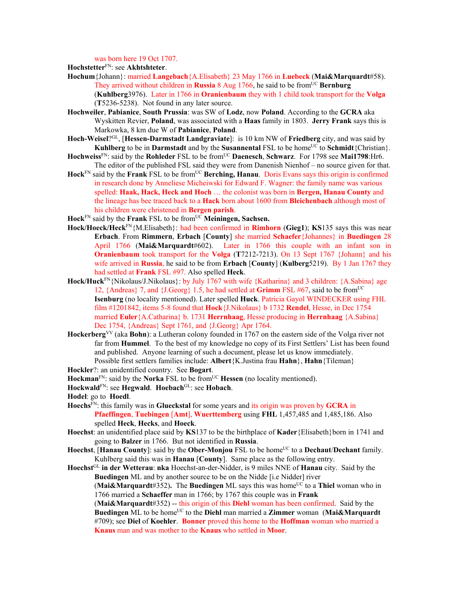was born here 19 Oct 1707.

**Hochstetter**FN: see **Akhtshteter**.

- **Hochum**{Johann}: married **Langebach**{A.Elisabeth} 23 May 1766 in **Luebeck** (**Mai&Marquardt**#58). They arrived without children in **Russia** 8 Aug 1766, he said to be from<sup>UC</sup> **Bernburg** (**Kuhlberg**3976). Later in 1766 in **Oranienbaum** they with 1 child took transport for the **Volga**  (**T**5236-5238). Not found in any later source.
- **Hochweiler**, **Pabianice**, **South Prussia**: was SW of **Lodz**, now **Poland**. According to the **GCRA** aka Wyskitten Revier, **Poland**, was associated with a **Haas** family in 1803. **Jerry Frank** says this is Markowka, 8 km due W of **Pabianice**, **Poland**.
- **Hoch-Weisel**?GL, [**Hessen-Darmstadt Landgraviate**]: is 10 km NW of **Friedberg** city, and was said by **Kuhlberg** to be in **Darmstadt** and by the **Susannental** FSL to be home<sup>UC</sup> to **Schmidt**{Christian}.
- **Hochweiss**FN: said by the **Rohleder** FSL to be fromUC **Daenesch**, **Schwarz**. For 1798 see **Mai1798**:Hr6. The editor of the published FSL said they were from Danenish Nienhof – no source given for that.
- Hock<sup>FN</sup> said by the **Frank** FSL to be from<sup>UC</sup> Berching, Hanau. Doris Evans says this origin is confirmed in research done by Anneliese Micheiwski for Edward F. Wagner: the family name was various spelled: **Haak, Hack, Heck and Hoch** … the colonist was born in **Bergen, Hanau County** and the lineage has bee traced back to a **Hack** born about 1600 from **Bleichenbach** although most of his children were christened in **Bergen parish**.
- **Hock**FN said by the **Frank** FSL to be fromUC **Meiningen, Sachsen.**
- **Hock/Hoeck/Heck**FN{M.Elisabeth}: had been confirmed in **Rimhorn** (**Gieg1**); **KS**135 says this was near **Erbach**. From **Rimmern**, **Erbach** [**County**] she married **Schaefer**{Johannes} in **Buedingen** 28 April 1766 (**Mai&Marquardt**#602). Later in 1766 this couple with an infant son in **Oranienbaum** took transport for the **Volga** (**T**7212-7213). On 13 Sept 1767 {Johann} and his wife arrived in **Russia**, he said to be from **Erbach** [**County**] (**Kulberg**5219). By 1 Jan 1767 they had settled at **Frank** FSL #97. Also spelled **Heck**.
- Hock/Huck<sup>FN</sup>{Nikolaus/J.Nikolaus}: by July 1767 with wife {Katharina} and 3 children: {A.Sabina} age 12, {Andreas} 7, and {J.Georg} 1.5, he had settled at **Grimm** FSL #67, said to be fromUC **Isenburg** (no locality mentioned). Later spelled **Huck**. Patricia Gayol WINDECKER using FHL film #1201842, items 5-8 found that **Hock**{J.Nikolaus} b 1732 **Rendel**, Hesse, in Dec 1754 married **Euler**{A.Catharina} b. 1731 **Herrnhaag**, Hesse producing in **Herrnhaag** {A.Sabina} Dec 1754, {Andreas} Sept 1761, and {J.Georg} Apr 1764.
- **Hockerberg**VV (aka **Bohn**): a Lutheran colony founded in 1767 on the eastern side of the Volga river not far from **Hummel**. To the best of my knowledge no copy of its First Settlers' List has been found and published. Anyone learning of such a document, please let us know immediately. Possible first settlers families include: **Albert**{K.Justina frau **Hahn**}, **Hahn**{Tileman}
- **Hockler**?: an unidentified country. See **Bogart**.
- **Hockman**<sup>FN</sup>: said by the **Norka** FSL to be from<sup>UC</sup> **Hessen** (no locality mentioned).
- **Hockwald**FN: see **Hegwald**. **Hoebach**GL: see **Hobach**.
- **Hodel**: go to **Hoedl**.
- **Hoechs**FN: this family was in **Glueckstal** for some years and its origin was proven by **GCRA** in **Pfaeffingen**, **Tuebingen** [**Amt**], **Wuerttemberg** using **FHL** 1,457,485 and 1,485,186. Also spelled **Heck**, **Hecks**, and **Hoeck**.
- **Hoechst**: an unidentified place said by **KS**137 to be the birthplace of **Kader**{Elisabeth}born in 1741 and going to **Balzer** in 1766. But not identified in **Russia**.
- **Hoechst**, [**Hanau County**]: said by the **Ober-Monjou** FSL to be home<sup>UC</sup> to a **Dechaut/Dechant** family. Kuhlberg said this was in **Hanau** [**County**]. Same place as the following entry.
- **Hoechst**GL **in der Wetterau**: **nka** Hoechst-an-der-Nidder, is 9 miles NNE of **Hanau** city. Said by the **Buedingen** ML and by another source to be on the Nidde [i.e Nidder] river

**(Mai&Marquardt**#352). The **Buedingen** ML says this was home<sup>UC</sup> to a Thiel woman who in 1766 married a **Schaeffer** man in 1766; by 1767 this couple was in **Frank**

(**Mai&Marquardt**#352) -- this origin of this **Diehl** woman has been confirmed. Said by the **Buedingen** ML to be home<sup>UC</sup> to the **Diehl** man married a **Zimmer** woman (Mai&Marquardt) #709); see **Diel** of **Koehler**. **Bonner** proved this home to the **Hoffman** woman who married a **Knaus** man and was mother to the **Knaus** who settled in **Moor**.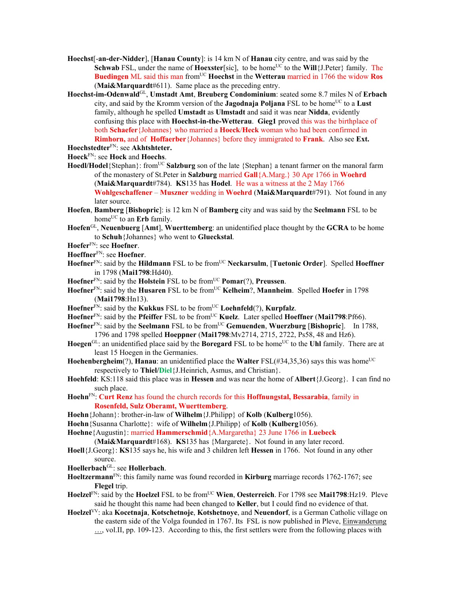- **Hoechst**[-**an-der-Nidder**], [**Hanau County**]: is 14 km N of **Hanau** city centre, and was said by the **Schwab** FSL, under the name of **Hoexster**[sic], to be home<sup>UC</sup> to the **Will**{J.Peter} family. The **Buedingen** ML said this man fromUC **Hoechst** in the **Wetterau** married in 1766 the widow **Ros** (**Mai&Marquardt**#611). Same place as the preceding entry.
- **Hoechst-im-Odenwald**GL, **Umstadt Amt**, **Breuberg Condominium**: seated some 8.7 miles N of **Erbach** city, and said by the Kromm version of the **Jagodnaja Poljana** FSL to be home<sup>UC</sup> to a Lust family, although he spelled **Umstadt** as **Ulmstadt** and said it was near **Nidda**, evidently confusing this place with **Hoechst-in-the-Wetterau**. **Gieg1** proved this was the birthplace of both **Schaefer**{Johannes} who married a **Hoeck**/**Heck** woman who had been confirmed in **Rimhorn,** and of **Hoffaerber**{Johannes} before they immigrated to **Frank**. Also see **Ext.**

- **Hoeck**FN: see **Hock** and **Hoechs**.
- **Hoedl/Hodel**{Stephan}: from<sup>UC</sup> **Salzburg** son of the late {Stephan} a tenant farmer on the manoral farm of the monastery of St.Peter in **Salzburg** married **Gall**{A.Marg.} 30 Apr 1766 in **Woehrd**  (**Mai&Marquardt**#784). **KS**135 has **Hodel**. He was a witness at the 2 May 1766 **Wohlgeschaffener** – **Muszner** wedding in **Woehrd** (**Mai&Marquardt**#791). Not found in any later source.
- **Hoefen**, **Bamberg** [**Bishopric**]: is 12 km N of **Bamberg** city and was said by the **Seelmann** FSL to be home<sup>UC</sup> to an **Erb** family.
- **Hoefen**GL, **Neuenbuerg** [**Amt**], **Wuerttemberg**: an unidentified place thought by the **GCRA** to be home to **Schuh**{Johannes} who went to **Glueckstal**.
- **Hoefer**FN: see **Hoefner**.
- **Hoeffner**FN: see **Hoefner**.
- **Hoefner**<sup>FN</sup>: said by the **Hildmann** FSL to be from<sup>UC</sup> **Neckarsulm**, [Tuetonic Order]. Spelled **Hoeffner** in 1798 (**Mai1798**:Hd40).
- **Hoefner**FN: said by the **Holstein** FSL to be fromUC **Pomar**(?), **Preussen**.
- **Hoefner**FN: said by the **Husaren** FSL to be fromUC **Kelheim**?, **Mannheim**. Spelled **Hoefer** in 1798 (**Mai1798**:Hn13).
- **Hoefner**FN: said by the **Kukkus** FSL to be fromUC **Loehnfeld**(?), **Kurpfalz**.
- Hoefner<sup>FN</sup>: said by the **Pfeiffer** FSL to be from<sup>UC</sup> **Kuelz**. Later spelled **Hoeffner** (Mai1798:Pf66).
- **Hoefner**<sup>FN</sup>: said by the **Seelmann** FSL to be from<sup>UC</sup> Gemuenden, Wuerzburg [Bishopric]. In 1788, 1796 and 1798 spelled **Hoeppner** (**Mai1798**:Mv2714, 2715, 2722, Ps58, 48 and Hz6).
- **Hoegen**<sup>GL</sup>: an unidentified place said by the **Boregard** FSL to be home<sup>UC</sup> to the Uhl family. There are at least 15 Hoegen in the Germanies.
- **Hoehenbergheim** $(?)$ , **Hanau**: an unidentified place the **Walter** FSL $(\#34,35,36)$  says this was home<sup>UC</sup> respectively to **Thiel/Diel**{J.Heinrich, Asmus, and Christian}.
- **Hoehfeld**: KS:118 said this place was in **Hessen** and was near the home of **Albert**{J.Georg}. I can find no such place.
- **Hoehn**FN: **Curt Renz** has found the church records for this **Hoffnungstal, Bessarabia**, family in **Rosenfeld, Sulz Oberamt, Wuerttemberg**.
- **Hoehn**{Johann}: brother-in-law of **Wilhelm**{J.Philipp} of **Kolb** (**Kulberg**1056).
- **Hoehn**{Susanna Charlotte}: wife of **Wilhelm**{J.Philipp} of **Kolb** (**Kulberg**1056).

**Hoehne**{Augustin}: married **Hammerschmid**{A.Margaretha} 23 June 1766 in **Luebeck** 

- (**Mai&Marquardt**#168). **KS**135 has {Margarete}. Not found in any later record.
- **Hoell**{J.Georg}: **KS**135 says he, his wife and 3 children left **Hessen** in 1766. Not found in any other source.
- **Hoellerbach**GL: see **Hollerbach**.
- **Hoeltzermann**FN: this family name was found recorded in **Kirburg** marriage records 1762-1767; see **Flegel** trip.
- **Hoelzel**FN: said by the **Hoelzel** FSL to be fromUC **Wien**, **Oesterreich**. For 1798 see **Mai1798**:Hz19. Pleve said he thought this name had been changed to **Keller**, but I could find no evidence of that.
- **Hoelzel**VV: aka **Kocetnaja**, **Kotschetnoje**, **Kotshetnoye**, and **Neuendorf**, is a German Catholic village on the eastern side of the Volga founded in 1767. Its FSL is now published in Pleve, Einwanderung …, vol.II, pp. 109-123. According to this, the first settlers were from the following places with

**Hoechstedter**FN: see **Akhtshteter.**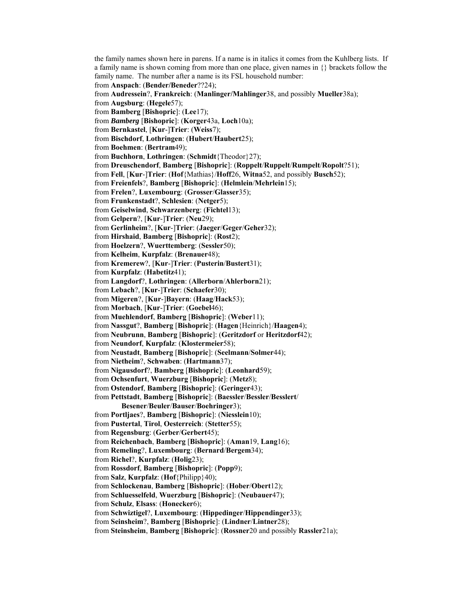the family names shown here in parens. If a name is in italics it comes from the Kuhlberg lists. If a family name is shown coming from more than one place, given names in {} brackets follow the family name. The number after a name is its FSL household number: from **Anspach**: (**Bender/Beneder**??24); from **Audressein**?, **Frankreich**: (**Manlinger/Mahlinger**38, and possibly **Mueller**38a); from **Augsburg**: (**Hegele**57); from **Bamberg** [**Bishopric**]: (**Lee**17); from *Bamberg* [**Bishopric**]: (**Korger**43a, **Loch**10a); from **Bernkastel**, [**Kur**-]**Trier**: (**Weiss**7); from **Bischdorf**, **Lothringen**: (**Hubert**/**Haubert**25); from **Boehmen**: (**Bertram**49); from **Buchhorn**, **Lothringen**: (**Schmidt**{Theodor}27); from **Dreuschendorf**, **Bamberg** [**Bishopric**]: (**Roppelt**/**Ruppelt**/**Rumpelt**/**Ropolt**?51); from **Fell**, [**Kur**-]**Trier**: (**Hof**{Mathias}/**Hoff**26, **Witna**52, and possibly **Busch**52); from **Freienfels**?, **Bamberg** [**Bishopric**]: (**Helmlein**/**Mehrlein**15); from **Frelen**?, **Luxembourg**: (**Grosser**/**Glasser**35); from **Frunkenstadt**?, **Schlesien**: (**Netger**5); from **Geiselwind**, **Schwarzenberg**: (**Fichtel**13); from **Gelpern**?, [**Kur**-]**Trier**: (**Neu**29); from **Gerlinheim**?, [**Kur**-]**Trier**: (**Jaeger**/**Geger**/**Geher**32); from **Hirshaid**, **Bamberg** [**Bishopric**]: (**Rost**2); from **Hoelzern**?, **Wuerttemberg**: (**Sessler**50); from **Kelheim**, **Kurpfalz**: (**Brenauer**48); from **Kremerew**?, [**Kur**-]**Trier**: (**Pusterin**/**Bustert**31); from **Kurpfalz**: (**Habetitz**41); from **Langdorf**?, **Lothringen**: (**Allerborn**/**Ahlerborn**21); from **Lebach**?, [**Kur**-]**Trier**: (**Schaefer**30); from **Migeren**?, [**Kur**-]**Bayern**: (**Haag**/**Hack**53); from **Morbach**, [**Kur**-]**Trier**: (**Goebel**46); from **Muehlendorf**, **Bamberg** [**Bishopric**]: (**Weber**11); from **Nassgut**?, **Bamberg** [**Bishopric**]: (**Hagen**{Heinrich}/**Haagen**4); from **Neubrunn**, **Bamberg** [**Bishopric**]: (**Geritzdorf** or **Heritzdorf**42); from **Neundorf**, **Kurpfalz**: (**Klostermeier**58); from **Neustadt**, **Bamberg** [**Bishopric**]: (**Seelmann**/**Solmer**44); from **Nietheim**?, **Schwaben**: (**Hartmann**37); from **Nigausdorf**?, **Bamberg** [**Bishopric**]: (**Leonhard**59); from **Ochsenfurt**, **Wuerzburg** [**Bishopric**]: (**Metz**8); from **Ostendorf**, **Bamberg** [**Bishopric**]: (**Geringer**43); from **Pettstadt**, **Bamberg** [**Bishopric**]: (**Baessler**/**Bessler**/**Besslert**/ **Besener**/**Beuler**/**Bauser**/**Boehringer**3); from **Portljaes**?, **Bamberg** [**Bishopric**]: (**Niesslein**10); from **Pustertal**, **Tirol**, **Oesterreich**: (**Stetter**55); from **Regensburg**: (**Gerber**/**Gerbert**45); from **Reichenbach**, **Bamberg** [**Bishopric**]: (**Aman**19, **Lang**16); from **Remeling**?, **Luxembourg**: (**Bernard**/**Bergem**34); from **Richel**?, **Kurpfalz**: (**Holig**23); from **Rossdorf**, **Bamberg** [**Bishopric**]: (**Popp**9); from **Salz**, **Kurpfalz**: (**Hof**{Philipp}40); from **Schlockenau**, **Bamberg** [**Bishopric**]: (**Hober**/**Obert**12); from **Schluesselfeld**, **Wuerzburg** [**Bishopric**]: (**Neubauer**47); from **Schulz**, **Elsass**: (**Honecker**6); from **Schwiztigel**?, **Luxembourg**: (**Hippedinger**/**Hippendinger**33); from **Seinsheim**?, **Bamberg** [**Bishopric**]: (**Lindner**/**Lintner**28); from **Steinsheim**, **Bamberg** [**Bishopric**]: (**Rossner**20 and possibly **Rassler**21a);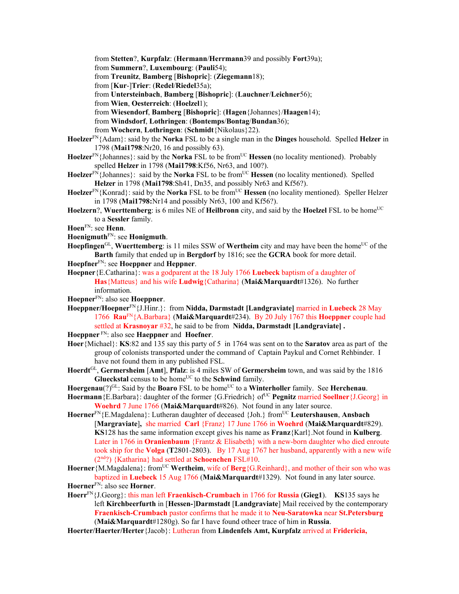from **Stetten**?, **Kurpfalz**: (**Hermann**/**Herrmann**39 and possibly **Fort**39a);

from **Summern**?, **Luxembourg**: (**Pauli**54);

from **Treunitz**, **Bamberg** [**Bishopric**]: (**Ziegemann**18);

from [**Kur**-]**Trier**: (**Redel**/**Riedel**35a);

from **Untersteinbach**, **Bamberg** [**Bishopric**]: (**Lauchner**/**Leichner**56);

from **Wien**, **Oesterreich**: (**Hoelzel**1);

from **Wiesendorf**, **Bamberg** [**Bishopric**]: (**Hagen**{Johannes}/**Haagen**14);

from **Windsdorf**, **Lothringen**: (**Bontemps**/**Bontag**/**Bundan**36);

from **Wochern**, **Lothringen**: (**Schmidt**{Nikolaus}22).

- **Hoelzer**FN{Adam}: said by the **Norka** FSL to be a single man in the **Dinges** household. Spelled **Helzer** in 1798 (**Mai1798**:Nr20, 16 and possibly 63).
- **Hoelzer**<sup>FN</sup>{Johannes}: said by the **Norka** FSL to be from<sup>UC</sup> **Hessen** (no locality mentioned). Probably spelled **Helzer** in 1798 (**Mai1798**:Kf56, Nr63, and 100?).
- Hoelzer<sup>FN</sup>{Johannes}: said by the **Norka** FSL to be from<sup>UC</sup> Hessen (no locality mentioned). Spelled **Helzer** in 1798 (**Mai1798**:Sh41, Dn35, and possibly Nr63 and Kf56?).
- **Hoelzer**<sup>FN</sup>{Konrad}: said by the **Norka** FSL to be from<sup>UC</sup> **Hessen** (no locality mentioned). Speller Helzer in 1798 (**Mai1798:**Nr14 and possibly Nr63, 100 and Kf56?).
- **Hoelzern**?, **Wuerttemberg**: is 6 miles NE of **Heilbronn** city, and said by the **Hoelzel** FSL to be home<sup>UC</sup> to a **Sessler** family.
- **Hoen**FN: see **Henn**.
- **Hoenigmuth**FN: see **Honigmuth**.
- **Hoepfingen**<sup>GL</sup>, **Wuerttemberg**: is 11 miles SSW of **Wertheim** city and may have been the home<sup>UC</sup> of the **Barth** family that ended up in **Bergdorf** by 1816; see the **GCRA** book for more detail.
- **Hoepfner**FN: see **Hoeppner** and **Heppner**.
- **Hoepner**{E.Catharina}: was a godparent at the 18 July 1766 **Luebeck** baptism of a daughter of **Has**{Matteus} and his wife **Ludwig**{Catharina} (**Mai&Marquardt**#1326). No further information.
- **Hoepner**FN: also see **Hoeppner**.
- **Hoeppner/Hoepner**FN{J.Hinr.}: from **Nidda, Darmstadt [Landgraviate]** married in **Luebeck** 28 May 1766 **Rau**FN{A.Barbara} (**Mai&Marquardt**#234). By 20 July 1767 this **Hoeppner** couple had settled at **Krasnoyar** #32, he said to be from **Nidda, Darmstadt [Landgraviate] .**

**Hoeppner** FN: also see **Haeppner** and **Hoefner**.

**Hoer**{Michael}: **KS**:82 and 135 say this party of 5 in 1764 was sent on to the **Saratov** area as part of the group of colonists transported under the command of Captain Paykul and Cornet Rehbinder. I have not found them in any published FSL.

**Hoerdt**GL, **Germersheim** [**Amt**], **Pfalz**: is 4 miles SW of **Germersheim** town, and was said by the 1816 **Glueckstal** census to be home<sup>UC</sup> to the **Schwind** family.

Hoergenau(?)<sup>GL</sup>: Said by the **Boaro** FSL to be home<sup>UC</sup> to a **Winterholler** family. See **Herchenau**.

- **Hoermann** {E.Barbara}: daughter of the former {G.Friedrich} of<sup>UC</sup> **Pegnitz** married **Soellner** {J.Georg} in **Woehrd** 7 June 1766 (**Mai&Marquardt**#826). Not found in any later source.
- Hoerner<sup>FN</sup>{E.Magdalena}: Lutheran daughter of deceased {Joh.} from<sup>UC</sup> Leutershausen, Ansbach [**Margraviate**]**,** she married **Carl** {Franz} 17 June 1766 in **Woehrd** (**Mai&Marquardt**#829). **KS**128 has the same information except gives his name as **Franz**{Karl}.Not found in **Kulberg**. Later in 1766 in **Oranienbaum** {Frantz & Elisabeth} with a new-born daughter who died enroute took ship for the **Volga** (**T**2801-2803). By 17 Aug 1767 her husband, apparently with a new wife (2nd?) {Katharina} had settled at **Schoenchen** FSL#10.
- Hoerner {M.Magdalena}: from<sup>UC</sup> Wertheim, wife of Berg {G.Reinhard}, and mother of their son who was baptized in **Luebeck** 15 Aug 1766 (**Mai&Marquardt**#1329). Not found in any later source. **Hoerner**FN: also see **Horner**.
- **Hoerr**FN{J.Georg}: this man left **Fraenkisch-Crumbach** in 1766 for **Russia** (**Gieg1**). **KS**135 says he left **Kirchbeerfurth** in [**Hessen-**]**Darmstadt** [**Landgraviate**] Mail received by the contemporary **Fraenkisch-Crumbach** pastor confirms that he made it to **Neu-Saratowka** near **St.Petersburg**  (**Mai&Marquardt**#1280g). So far I have found otheer trace of him in **Russia**.

**Hoerter/Haerter/Herter**{Jacob}: Lutheran from **Lindenfels Amt, Kurpfalz** arrived at **Fridericia,**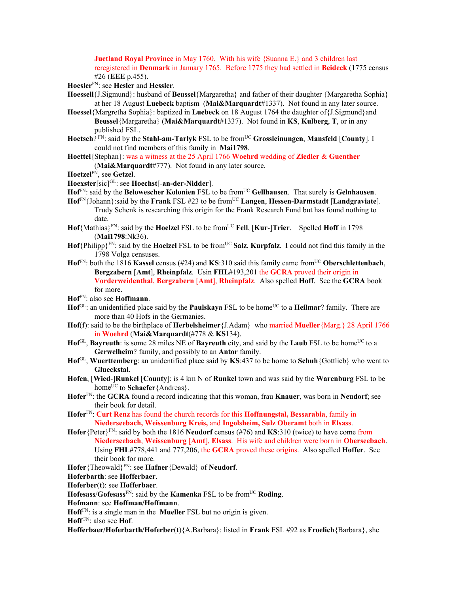**Juetland Royal Province** in May 1760. With his wife {Suanna E.} and 3 children last reregistered in **Denmark** in January 1765. Before 1775 they had settled in **Beideck** (1775 census #26 (**EEE** p.455).

**Hoesler**FN: see **Hesler** and **Hessler**.

- **Hoessell**{J.Sigmund}: husband of **Beussel**{Margaretha} and father of their daughter {Margaretha Sophia} at her 18 August **Luebeck** baptism (**Mai&Marquardt**#1337). Not found in any later source.
- **Hoessel**{Margretha Sophia}: baptized in **Luebeck** on 18 August 1764 the daughter of{J.Sigmund}and **Beussel**{Margaretha} (**Mai&Marquardt**#1337). Not found in **KS**, **Kulberg**, **T**, or in any published FSL.
- **Hoetsch**? FN: said by the **Stahl-am-Tarlyk** FSL to be fromUC **Grossleinungen**, **Mansfeld** [**County**]. I could not find members of this family in **Mai1798**.
- **Hoettel**{Stephan}: was a witness at the 25 April 1766 **Woehrd** wedding of **Ziedler** & **Guenther** (**Mai&Marquardt**#777). Not found in any later source.

**Hoetzel**FN, see **Getzel**.

- **Hoexster**[sic]GL: see **Hoechst**[-**an-der-Nidder**].
- **Hof**FN: said by the **Belowescher Kolonien** FSL to be fromUC **Gellhausen**. That surely is **Gelnhausen**.
- **Hof**FN{Johann}:said by the **Frank** FSL #23 to be fromUC **Langen**, **Hessen-Darmstadt** [**Landgraviate**]. Trudy Schenk is researching this origin for the Frank Research Fund but has found nothing to date.
- **Hof**{Mathias}FN: said by the **Hoelzel** FSL to be fromUC **Fell**, [**Kur**-]**Trier**. Spelled **Hoff** in 1798 (**Mai1798**:Nk36).
- $\text{Hof}\{ \text{Philipp} \}^{\text{FN}}$ : said by the **Hoelzel** FSL to be from<sup>UC</sup> Salz, **Kurpfalz**. I could not find this family in the 1798 Volga censuses.
- **Hof**<sup>FN</sup>: both the 1816 **Kassel** census (#24) and **KS**:310 said this family came from<sup>UC</sup> Oberschlettenbach, **Bergzabern** [**Amt**], **Rheinpfalz**. Usin **FHL**#193,201 the **GCRA** proved their origin in **Vorderweidenthal**, **Bergzabern** [**Amt**], **Rheinpfalz**. Also spelled **Hoff**. See the **GCRA** book for more.
- **Hof**FN: also see **Hoffmann**.
- Hof<sup>GL</sup>: an unidentified place said by the **Paulskaya** FSL to be home<sup>UC</sup> to a **Heilmar**? family. There are more than 40 Hofs in the Germanies.
- **Hof**(**f**): said to be the birthplace of **Herbelsheimer**{J.Adam} who married **Mueller**{Marg.} 28 April 1766 in **Woehrd** (**Mai&Marquardt**(#778 & **KS**134).
- **Hof**<sup>GL</sup>, **Bayreuth**: is some 28 miles NE of **Bayreuth** city, and said by the **Laub** FSL to be home<sup>UC</sup> to a **Gerwelheim**? family, and possibly to an **Antor** family.
- **Hof**GL, **Wuerttemberg**: an unidentified place said by **KS**:437 to be home to **Schuh**{Gottlieb} who went to **Glueckstal**.
- **Hofen**, [**Wied**-]**Runkel** [**County**]: is 4 km N of **Runkel** town and was said by the **Warenburg** FSL to be home<sup>UC</sup> to **Schaefer**{Andreas}.
- **Hofer**FN: the **GCRA** found a record indicating that this woman, frau **Knauer**, was born in **Neudorf**; see their book for detail.
- **Hofer**FN: **Curt Renz** has found the church records for this **Hoffnungstal, Bessarabia**, family in **Niederseebach, Weissenburg Kreis,** and **Ingolsheim, Sulz Oberamt** both in **Elsass**.
- **Hofer**{Peter}FN: said by both the 1816 **Neudorf** census (#76) and **KS**:310 (twice) to have come from **Niederseebach**, **Weissenburg** [**Amt**], **Elsass**. His wife and children were born in **Oberseebach**. Using **FHL**#778,441 and 777,206, the **GCRA** proved these origins. Also spelled **Hoffer**. See their book for more.

**Hofer**{Theowald}FN: see **Hafner**{Dewald} of **Neudorf**.

**Hoferbarth**: see **Hofferbaer**.

**Hoferber**(**t**): see **Hofferbaer**.

**Hofesass**/**Gofesass**FN: said by the **Kamenka** FSL to be fromUC **Roding**.

**Hofmann**: see **Hoffman/Hoffmann**.

**Hoff**FN: is a single man in the **Mueller** FSL but no origin is given.

**Hoff** FN: also see **Hof**.

**Hofferbaer/Hoferbarth/Hoferber**(**t**){A.Barbara}: listed in **Frank** FSL #92 as **Froelich**{Barbara}, she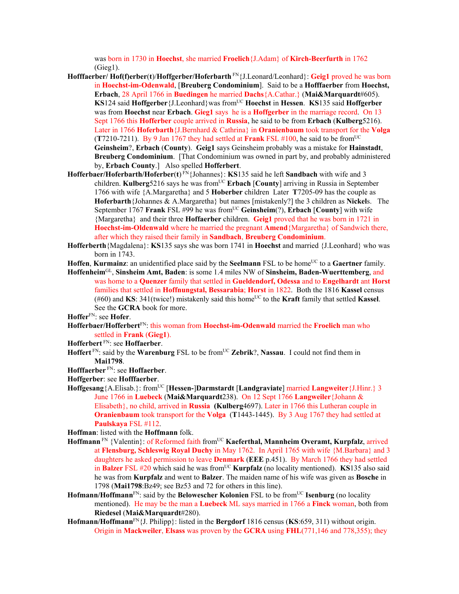was born in 1730 in **Hoechst**, she married **Froelich**{J.Adam} of **Kirch-Beerfurth** in 1762  $(Gieg1)$ .

- **Hofffaerber/ Hof(f)erber**(**t**)/**Hoffgerber/Hoferbarth** FN{J.Leonard/Leonhard}: **Geig1** proved he was born in **Hoechst-im-Odenwald**, [**Breuberg Condominium**]. Said to be a **Hofffaerber** from **Hoechst, Erbach**, 28 April 1766 in **Buedingen** he married **Dachs**{A.Cathar.} (**Mai&Marquardt**#605). **KS**124 said **Hoffgerber** {J.Leonhard} was from<sup>UC</sup> **Hoechst** in **Hessen**. **KS**135 said **Hoffgerber** was from **Hoechst** near **Erbach**. **Gieg1** says he is a **Hoffgerber** in the marriage record. On 13 Sept 1766 this **Hofferber** couple arrived in **Russia**, he said to be from **Erbach** (**Kulberg**5216). Later in 1766 **Hoferbarth**{J.Bernhard & Cathrina} in **Oranienbaum** took transport for the **Volga** (**T**7210-7211). By 9 Jan 1767 they had settled at **Frank** FSL #100, he said to be fromUC **Geinsheim**?, **Erbach** (**County**). **Geig1** says Geinsheim probably was a mistake for **Hainstadt**, **Breuberg Condominium**. [That Condominium was owned in part by, and probably administered by, **Erbach County**.] Also spelled **Hofferbert**.
- **Hofferbaer/Hoferbarth/Hoferber(t)<sup>EN</sup>{Johannes}: <b>KS**135 said he left **Sandbach** with wife and 3 children. **Kulberg**5216 says he was from<sup>UC</sup> Erbach [County] arriving in Russia in September 1766 with wife {A.Margaretha} and 5 **Hoberber** children Later **T**7205-09 has the couple as **Hoferbarth**{Johannes & A.Margaretha} but names [mistakenly?] the 3 children as **Nickel**s. The September 1767 **Frank** FSL #99 he was from<sup>UC</sup> Geinsheim(?), **Erbach** [County] with wife {Margaretha} and their three **Hoffaerber** children. **Geig1** proved that he was born in 1721 in **Hoechst-im-Oldenwald** where he married the pregnant **Amend**{Margaretha} of Sandwich there, after which they raised their family in **Sandbach**, **Breuberg Condominium**.
- **Hofferberth**{Magdalena}: **KS**135 says she was born 1741 in **Hoechst** and married {J.Leonhard} who was born in 1743.
- **Hoffen, Kurmainz**: an unidentified place said by the **Seelmann** FSL to be home<sup>UC</sup> to a **Gaertner** family.
- **Hoffenheim**GL, **Sinsheim Amt, Baden**: is some 1.4 miles NW of **Sinsheim, Baden-Wuerttemberg**, and was home to a **Quenzer** family that settled in **Gueldendorf, Odessa** and to **Engelhardt** ant **Horst** families that settled in **Hoffnungstal, Bessarabia**; **Horst** in 1822. Both the 1816 **Kassel** census  $(#60)$  and **KS**: 341(twice!) mistakenly said this home<sup>UC</sup> to the **Kraft** family that settled **Kassel**. See the **GCRA** book for more.
- **Hoffer**FN: see **Hofer**.
- **Hofferbaer/Hofferbert**FN: this woman from **Hoechst-im-Odenwald** married the **Froelich** man who settled in **Frank** (**Gieg1**).
- **Hofferbert** FN: see **Hoffaerber**.
- Hoffert <sup>FN</sup>: said by the Warenburg FSL to be from<sup>UC</sup> Zebrik?, Nassau. I could not find them in **Mai1798**.
- **Hofffaerber** FN: see **Hoffaerber**.
- **Hoffgerber**: see **Hofffaerber**.
- **Hoffgesang**{A.Elisab.}: fromUC [**Hessen-**]**Darmstardt** [**Landgraviate**] married **Langweiter**{J.Hinr.} 3 June 1766 in **Luebeck** (**Mai&Marquardt**238). On 12 Sept 1766 **Langweiler**{Johann & Elisabeth}, no child, arrived in **Russia (Kulberg**4697). Later in 1766 this Lutheran couple in **Oranienbaum** took transport for the **Volga** (**T**1443-1445). By 3 Aug 1767 they had settled at **Paulskaya** FSL #112.
- **Hoffman**: listed with the **Hoffmann** folk.
- **Hoffmann** FN {Valentin}: of Reformed faith fromUC **Kaeferthal, Mannheim Overamt, Kurpfalz**, arrived at **Flensburg, Schleswig Royal Duchy** in May 1762. In April 1765 with wife {M.Barbara} and 3 daughters he asked permission to leave **Denmark** (**EEE** p.451). By March 1766 they had settled in **Balzer** FSL  $\#20$  which said he was from<sup>UC</sup> **Kurpfalz** (no locality mentioned). **KS**135 also said he was from **Kurpfalz** and went to **Balzer**. The maiden name of his wife was given as **Bosche** in 1798 (**Mai1798**:Bz49; see Bz53 and 72 for others in this line).
- **Hofmann/Hoffmann<sup>FN</sup>: said by the <b>Belowescher Kolonien** FSL to be from<sup>UC</sup> **Isenburg** (no locality mentioned). He may be the man a **Luebeck** ML says married in 1766 a **Finck** woman, both from **Riedesel** (**Mai&Marquardt**#280).
- **Hofmann/Hoffmann**FN{J. Philipp}: listed in the **Bergdorf** 1816 census (**KS**:659, 311) without origin. Origin in **Mackweiler**, **Elsass** was proven by the **GCRA** using **FHL**(771,146 and 778,355); they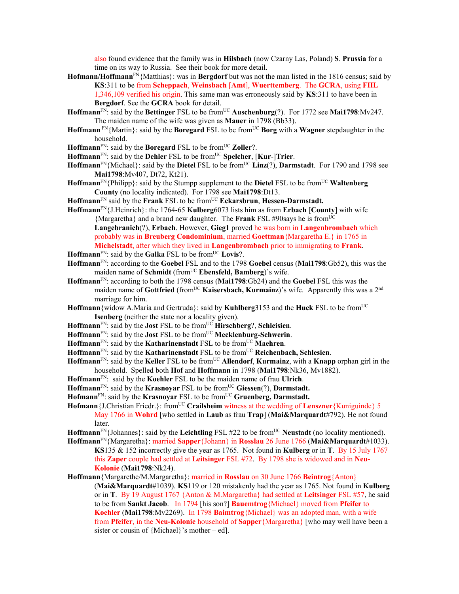also found evidence that the family was in **Hilsbach** (now Czarny Las, Poland) **S**. **Prussia** for a time on its way to Russia. See their book for more detail.

- **Hofmann/Hoffmann**<sup>FN</sup>{Matthias}: was in **Bergdorf** but was not the man listed in the 1816 census; said by **KS**:311 to be from **Scheppach**, **Weinsbach** [**Amt**], **Wuerttemberg**. The **GCRA**, using **FHL** 1,346,109 verified his origin. This same man was erroneously said by **KS**:311 to have been in **Bergdorf**. See the **GCRA** book for detail.
- **Hoffmann**<sup>FN</sup>: said by the **Bettinger** FSL to be from<sup>UC</sup> **Auschenburg**(?). For 1772 see **Mai1798**:Mv247. The maiden name of the wife was given as **Mauer** in 1798 (Bb33).
- **Hoffmann** FN{Martin}: said by the **Boregard** FSL to be fromUC **Borg** with a **Wagner** stepdaughter in the household.
- **Hoffmann**<sup>FN</sup>: said by the **Boregard** FSL to be from<sup>UC</sup> **Zoller**?.
- **Hoffmann**<sup>FN</sup>: said by the **Dehler** FSL to be from<sup>UC</sup> **Spelcher**, [**Kur-**]Trier.
- **Hoffmann**<sup>FN</sup>{Michael}: said by the **Dietel** FSL to be from<sup>UC</sup> **Linz**(?), **Darmstadt**. For 1790 and 1798 see **Mai1798**:Mv407, Dt72, Kt21).
- Hoffmann<sup>FN</sup>{Philipp}: said by the Stumpp supplement to the Dietel FSL to be from<sup>UC</sup> Waltenberg **County** (no locality indicated). For 1798 see **Mai1798**:Dt13.
- **Hoffmann**<sup>FN</sup> said by the **Frank** FSL to be from<sup>UC</sup> **Eckarsbrun**, **Hessen-Darmstadt.**
- **Hoffmann**FN{J.Heinrich}: the 1764-65 **Kulberg**6073 lists him as from **Erbach** [**County**] with wife {Margaretha} and a brand new daughter. The **Frank** FSL #90says he is fromUC **Langebranich**(?), **Erbach**. However, **Gieg1** proved he was born in **Langenbrombach** which probably was in **Breuberg Condominium**, married **Goettman**{Margaretha E.} in 1765 in **Michelstadt**, after which they lived in **Langenbrombach** prior to immigrating to **Frank**.
- **Hoffmann**<sup>FN</sup>: said by the **Galka** FSL to be from<sup>UC</sup> Lovis?.
- **Hoffmann**FN: according to the **Goebel** FSL and to the 1798 **Goebel** census (**Mai1798**:Gb52), this was the maiden name of **Schmidt** (from<sup>UC</sup> **Ebensfeld, Bamberg**)'s wife.
- **Hoffmann**FN: according to both the 1798 census (**Mai1798**:Gb24) and the **Goebel** FSL this was the maiden name of **Gottfried** (from<sup>UC</sup> **Kaisersbach, Kurmainz**)'s wife. Apparently this was a 2<sup>nd</sup> marriage for him.
- **Hoffmann**{widow A.Maria and Gertruda}: said by **Kuhlberg**3153 and the **Huck** FSL to be fromUC **Isenberg** (neither the state nor a locality given).
- **Hoffmann**<sup>FN</sup>: said by the **Jost** FSL to be from<sup>UC</sup> **Hirschberg**?, **Schleisien**.
- **Hoffmann**FN: said by the **Jost** FSL to be fromUC **Mecklenburg-Schwerin**.
- Hoffmann<sup>FN</sup>: said by the **Katharinenstadt** FSL to be from<sup>UC</sup> Maehren.
- Hoffmann<sup>FN</sup>: said by the **Katharinenstadt** FSL to be from<sup>UC</sup> **Reichenbach**, Schlesien.
- **Hoffmann**FN: said by the **Keller** FSL to be fromUC **Allendorf**, **Kurmainz**, with a **Knapp** orphan girl in the household. Spelled both **Hof** and **Hoffmann** in 1798 (**Mai1798**:Nk36, Mv1882).
- **Hoffmann**FN: said by the **Koehler** FSL to be the maiden name of frau **Ulrich**.
- **Hoffmann**<sup>FN</sup>: said by the **Krasnoyar** FSL to be from<sup>UC</sup> Giessen(?), **Darmstadt.**
- Hofmann<sup>FN</sup>: said by the **Krasnoyar** FSL to be from<sup>UC</sup> Gruenberg, Darmstadt.
- **Hofmann** {J.Christian Friedr.}: from<sup>UC</sup> **Crailsheim** witness at the wedding of **Lenszner** {Kuniguinde} 5 May 1766 in **Wohrd** [who settled in **Laub** as frau **Trap**] (**Mai&Marquardt**#792). He not found later.
- **Hoffmann**FN{Johannes}: said by the **Leichtling** FSL #22 to be fromUC **Neustadt** (no locality mentioned).
- **Hoffmann**FN{Margaretha}: married **Sapper**{Johann} in **Rosslau** 26 June 1766 (**Mai&Marquardt**#1033). **KS**135 & 152 incorrectly give the year as 1765. Not found in **Kulberg** or in **T**. By 15 July 1767 this **Zaper** couple had settled at **Leitsinger** FSL #72. By 1798 she is widowed and in **Neu-Kolonie** (**Mai1798**:Nk24).
- **Hoffmann**{Margarethe/M.Margaretha}: married in **Rosslau** on 30 June 1766 **Beintrog**{Anton} (**Mai&Marquardt**#1039). **KS**119 or 120 mistakenly had the year as 1765. Not found in **Kulberg** or in **T**. By 19 August 1767 {Anton & M.Margaretha} had settled at **Leitsinger** FSL #57, he said to be from **Sankt Jacob**. In 1794 [his son?] **Bauemtrog**{Michael} moved from **Pfeifer** to **Koehler** (**Mai1798**:Mv2269). In 1798 **Baimtrog**{Michael} was an adopted man, with a wife from **Pfeifer**, in the **Neu-Kolonie** household of **Sapper**{Margaretha} [who may well have been a sister or cousin of {Michael}'s mother – ed].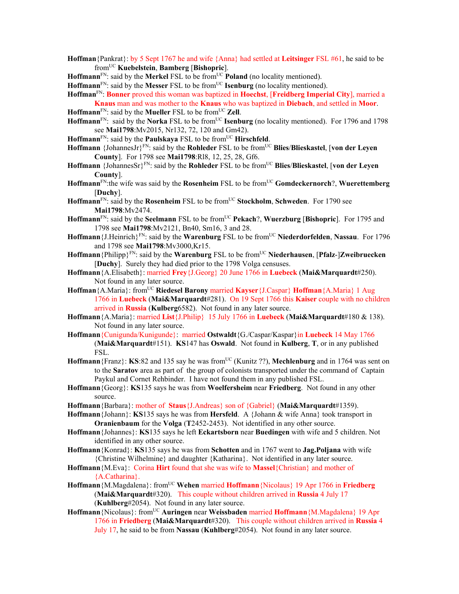- **Hoffman**{Pankrat}: by 5 Sept 1767 he and wife {Anna} had settled at **Leitsinger** FSL #61, he said to be fromUC **Kuebelstein**, **Bamberg** [**Bishopric**].
- **Hoffmann**<sup>FN</sup>: said by the **Merkel** FSL to be from<sup>UC</sup> **Poland** (no locality mentioned).

**Hoffmann**<sup>FN</sup>: said by the **Messer** FSL to be from<sup>UC</sup> **Isenburg** (no locality mentioned).

- **Hoffman**FN: **Bonner** proved this woman was baptized in **Hoechst**, [**Freidberg Imperial City**], married a **Knaus** man and was mother to the **Knaus** who was baptized in **Diebach**, and settled in **Moor**.
- $H$ **offmann**<sup>FN</sup>: said by the **Mueller** FSL to be from<sup>UC</sup> **Zell**.
- **Hoffmann**<sup>FN</sup>: said by the **Norka** FSL to be from<sup>UC</sup> **Isenburg** (no locality mentioned). For 1796 and 1798 see **Mai1798**:Mv2015, Nr132, 72, 120 and Gm42).
- **Hoffmann**<sup>FN</sup>: said by the **Paulskaya** FSL to be from<sup>UC</sup> **Hirschfeld**.
- **Hoffmann** {JohannesJr}<sup>FN</sup>: said by the **Rohleder** FSL to be from<sup>UC</sup> **Blies/Blieskastel**, [von der Leyen **County**]. For 1798 see **Mai1798**:Rl8, 12, 25, 28, Gf6.
- **Hoffmann** {JohannesSr}FN: said by the **Rohleder** FSL to be fromUC **Blies**/**Blieskastel**, [**von der Leyen County**].
- **Hoffmann**FN:the wife was said by the **Rosenheim** FSL to be fromUC **Gomdeckernorch**?, **Wuerettemberg** [**Duchy**].
- **Hoffmann**FN: said by the **Rosenheim** FSL to be fromUC **Stockholm**, **Schweden**. For 1790 see **Mai1798**:Mv2474.
- Hoffmann<sup>FN</sup>: said by the **Seelmann** FSL to be from<sup>UC</sup> Pekach?, Wuerzburg [Bishopric]. For 1795 and 1798 see **Mai1798**:Mv2121, Bn40, Sm16, 3 and 28.
- **Hoffmann**{J.Heinrich}FN: said by the **Warenburg** FSL to be fromUC **Niederdorfelden**, **Nassau**. For 1796 and 1798 see **Mai1798**:Mv3000,Kr15.
- **Hoffmann**{Philipp}<sup>FN</sup>: said by the **Warenburg** FSL to be from<sup>UC</sup> **Niederhausen**, [Pfalz-]Zweibruecken [**Duchy**]. Surely they had died prior to the 1798 Volga censuses.
- **Hoffmann**{A.Elisabeth}: married **Frey**{J.Georg} 20 June 1766 in **Luebeck** (**Mai&Marquardt**#250). Not found in any later source.
- **Hoffman** {A.Maria}: from<sup>UC</sup> **Riedesel Barony married Kayser** {J.Caspar} **Hoffman** {A.Maria} 1 Aug 1766 in **Luebeck** (**Mai&Marquardt**#281). On 19 Sept 1766 this **Kaiser** couple with no children arrived in **Russia** (**Kulberg**6582). Not found in any later source.
- **Hoffmann**{A.Maria}: married **List**{J.Philip} 15 July 1766 in **Luebeck** (**Mai&Marquardt**#180 & 138). Not found in any later source.
- **Hoffmann**{Cunigunda/Kunigunde}: married **Ostwaldt**{G./Caspar/Kaspar}in **Luebeck** 14 May 1766 (**Mai&Marquardt**#151). **KS**147 has **Oswald**. Not found in **Kulberg**, **T**, or in any published FSL.
- **Hoffmann**{Franz}: **KS**:82 and 135 say he was from<sup>UC</sup> (Kunitz ??), **Mechlenburg** and in 1764 was sent on to the **Saratov** area as part of the group of colonists transported under the command of Captain Paykul and Cornet Rehbinder. I have not found them in any published FSL.
- **Hoffmann**{Georg}: **KS**135 says he was from **Woelfersheim** near **Friedberg**. Not found in any other source.
- **Hoffmann**{Barbara}: mother of **Staus**{J.Andreas} son of {Gabriel} (**Mai&Marquardt**#1359).
- **Hoffmann**{Johann}: **KS**135 says he was from **Hersfeld**. A {Johann & wife Anna} took transport in **Oranienbaum** for the **Volga** (**T**2452-2453). Not identified in any other source.
- **Hoffmann**{Johannes}: **KS**135 says he left **Eckartsborn** near **Buedingen** with wife and 5 children. Not identified in any other source.
- **Hoffmann**{Konrad}: **KS**135 says he was from **Schotten** and in 1767 went to **Jag.Poljana** with wife {Christine Wilhelmine} and daughter {Katharina}. Not identified in any later source.
- **Hoffmann**{M.Eva}: Corina **Hirt** found that she was wife to **Massel**{Christian} and mother of {A.Catharina}.
- **Hoffmann**{M.Magdalena}: fromUC **Wehen** married **Hoffmann**{Nicolaus} 19 Apr 1766 in **Friedberg** (**Mai&Marquardt**#320). This couple without children arrived in **Russia** 4 July 17 (**Kuhlberg**#2054). Not found in any later source.
- **Hoffmann** {Nicolaus}: from<sup>UC</sup> **Auringen** near **Weissbaden** married **Hoffmann** {M.Magdalena} 19 Apr 1766 in **Friedberg** (**Mai&Marquardt**#320). This couple without children arrived in **Russia** 4 July 17, he said to be from **Nassau** (**Kuhlberg**#2054). Not found in any later source.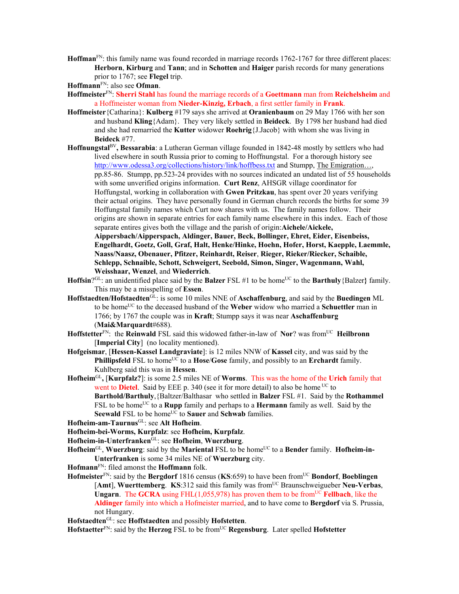**Hoffman**FN: this family name was found recorded in marriage records 1762-1767 for three different places: **Herborn**, **Kirburg** and **Tann**; and in **Schotten** and **Haiger** parish records for many generations prior to 1767; see **Flegel** trip.

**Hoffmann**FN: also see **Ofman**.

- **Hoffmeister**FN: **Sherri Stahl** has found the marriage records of a **Goettmann** man from **Reichelsheim** and a Hoffmeister woman from **Nieder-Kinzig, Erbach**, a first settler family in **Frank**.
- **Hoffmeister**{Catharina}: **Kulberg** #179 says she arrived at **Oranienbaum** on 29 May 1766 with her son and husband **Kling**{Adam}. They very likely settled in **Beideck**. By 1798 her husband had died and she had remarried the **Kutter** widower **Roehrig**{J.Jacob} with whom she was living in **Beideck** #77.
- **Hoffnungstal**BV**, Bessarabia**: a Lutheran German village founded in 1842-48 mostly by settlers who had lived elsewhere in south Russia prior to coming to Hoffnungstal. For a thorough history see http://www.odessa3.org/collections/history/link/hoffbess.txt and Stumpp, The Emigration..., pp.85-86. Stumpp, pp.523-24 provides with no sources indicated an undated list of 55 households with some unverified origins information. **Curt Renz**, AHSGR village coordinator for Hoffungstal, working in collaboration with **Gwen Pritzkau**, has spent over 20 years verifying their actual origins. They have personally found in German church records the births for some 39 Hoffungstal family names which Curt now shares with us. The family names follow. Their origins are shown in separate entries for each family name elsewhere in this index. Each of those separate entires gives both the village and the parish of origin:**Aichele/Aickele,**

**Aippersbach/Aipperspach, Aldinger, Bauer, Beck, Bollinger, Ehret, Eider, Eisenbeiss, Engelhardt, Goetz, Goll, Graf, Halt, Henke/Hinke, Hoehn, Hofer, Horst, Kaepple, Laemmle, Naass/Naasz, Obenauer, Pfitzer, Reinhardt, Reiser**, **Rieger, Rieker/Riecker, Schaible, Schlepp, Schnaible, Schott, Schweigert, Seebold, Simon, Singer, Wagenmann, Wahl, Weisshaar, Wenzel**, and **Wiederrich**.

- **Hoffsin**?<sup>GL</sup>: an unidentified place said by the **Balzer**  $FSL \# 1$  to be home<sup>UC</sup> to the **Barthuly**{Balzer} family. This may be a misspelling of **Essen**.
- **Hoffstaedten/Hofstaedten**GL: is some 10 miles NNE of **Aschaffenburg**, and said by the **Buedingen** ML to be home<sup>UC</sup> to the deceased husband of the **Weber** widow who married a **Schuettler** man in 1766; by 1767 the couple was in **Kraft**; Stumpp says it was near **Aschaffenburg** (**Mai&Marquardt**#688).
- Hoffstetter<sup>FN</sup>: the **Reinwald** FSL said this widowed father-in-law of **Nor**? was from<sup>UC</sup> **Heilbronn** [**Imperial City**] (no locality mentioned).
- **Hofgeismar**, [**Hessen-Kassel Landgraviate**]: is 12 miles NNW of **Kassel** city, and was said by the **Phillipsfeld** FSL to home<sup>UC</sup> to a **Hose/Gose** family, and possibly to an **Erchardt** family. Kuhlberg said this was in **Hessen**.
- **Hofheim**GL**,** [**Kurpfalz?**]: is some 2.5 miles NE of **Worms**. This was the home of the **Urich** family that went to **Dietel**. Said by EEE p. 340 (see it for more detail) to also be home <sup>UC</sup> to **Barthold/Barthuly**,{Baltzer/Balthasar who settled in **Balzer** FSL #1. Said by the **Rothammel** FSL to be home<sup>UC</sup> to a **Rupp** family and perhaps to a **Hermann** family as well. Said by the **Seewald** FSL to be home<sup>UC</sup> to **Sauer** and **Schwab** families.
- **Hofheim-am-Taurnus**GL: see **Alt Hofheim**.
- **Hofheim-bei-Worms, Kurpfalz**: see **Hofheim, Kurpfalz**.
- **Hofheim-in-Unterfranken**GL: see **Hofheim**, **Wuerzburg**.
- Hofheim<sup>GL</sup>, Wuerzburg: said by the Mariental FSL to be home<sup>UC</sup> to a Bender family. Hofheim-in-**Unterfranken** is some 34 miles NE of **Wuerzburg** city.
- **Hofmann**FN: filed amonst the **Hoffmann** folk.
- **Hofmeister**FN: said by the **Bergdorf** 1816 census (**KS**:659) to have been fromUC **Bondorf**, **Boeblingen** [Amt], Wuerttemberg. KS:312 said this family was from<sup>UC</sup> Braunschweigueber Neu-Verbas, **Ungarn**. The **GCRA** using FHL $(1,055,978)$  has proven them to be from<sup>UC</sup> **Fellbach**, like the **Aldinger** family into which a Hofmeister married, and to have come to **Bergdorf** via S. Prussia, not Hungary.
- **Hofstaedten**GL: see **Hoffstaedten** and possibly **Hofstetten**.

**Hofstaetter**<sup>FN</sup>: said by the **Herzog** FSL to be from<sup>UC</sup> **Regensburg**. Later spelled **Hofstetter**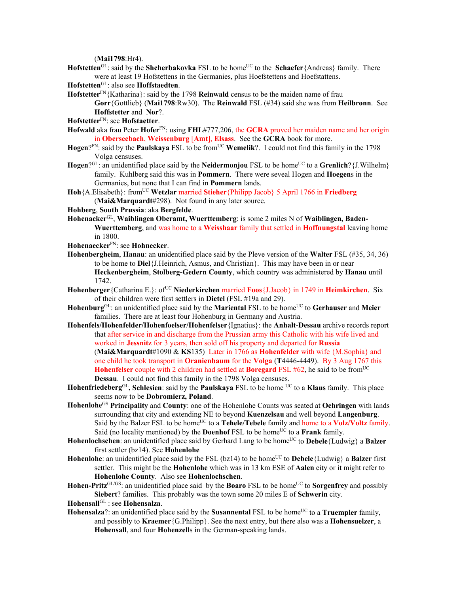(**Mai1798**:Hr4).

- Hofstetten<sup>GL</sup>: said by the **Shcherbakovka** FSL to be home<sup>UC</sup> to the **Schaefer**{Andreas} family. There were at least 19 Hofstettens in the Germanies, plus Hoefstettens and Hoefstattens.
- **Hofstetten**GL: also see **Hoffstaedten**.
- **Hofstetter**<sup>FN</sup>{Katharina}: said by the 1798 **Reinwald** census to be the maiden name of frau **Gorr**{Gottlieb} (**Mai1798**:Rw30). The **Reinwald** FSL (#34) said she was from **Heilbronn**. See **Hoffstetter** and **Nor**?.
- **Hofstetter**FN: see **Hofstaetter**.
- **Hofwald** aka frau Peter **Hofer**FN: using **FHL**#777,206, the **GCRA** proved her maiden name and her origin in **Oberseebach**, **Weissenburg** [**Amt**], **Elsass**. See the **GCRA** book for more.
- Hogen?<sup>FN</sup>: said by the **Paulskaya** FSL to be from<sup>UC</sup> Wemelik?. I could not find this family in the 1798 Volga censuses.
- Hogen<sup>?GL</sup>: an unidentified place said by the **Neidermonjou** FSL to be home<sup>UC</sup> to a **Grenlich**? {J.Wilhelm} family. Kuhlberg said this was in **Pommern**. There were seveal Hogen and **Hoegen**s in the Germanies, but none that I can find in **Pommern** lands.
- **Hoh**{A.Elisabeth}: fromUC **Wetzlar** married **Stieher**{Philipp Jacob} 5 April 1766 in **Friedberg**  (**Mai&Marquardt**#298). Not found in any later source.
- **Hohberg**, **South Prussia**: aka **Bergfelde**.
- **Hohenacker**GL, **Waiblingen Oberamt, Wuerttemberg**: is some 2 miles N of **Waiblingen, Baden-Wuerttemberg**, and was home to a **Weisshaar** family that settled in **Hoffnungstal** leaving home in 1800.
- **Hohenaecker**FN: see **Hohnecker**.
- **Hohenbergheim**, **Hanau**: an unidentified place said by the Pleve version of the **Walter** FSL (#35, 34, 36) to be home to **Diel**{J.Heinrich, Asmus, and Christian}. This may have been in or near **Heckenbergheim**, **Stolberg-Gedern County**, which country was administered by **Hanau** until 1742.
- **Hohenberger** {Catharina E.}: of<sup>UC</sup> **Niederkirchen** married **Foos** {J.Jacob} in 1749 in **Heimkirchen**. Six of their children were first settlers in **Dietel** (FSL #19a and 29).
- **Hohenburg**GL: an unidentified place said by the **Mariental** FSL to be homeUC to **Gerhauser** and **Meier** families. There are at least four Hohenburg in Germany and Austria.
- **Hohenfels/Hohenfelder/Hohenfoelser/Hohenfelser**{Ignatius}: the **Anhalt-Dessau** archive records report that after service in and discharge from the Prussian army this Catholic with his wife lived and worked in **Jessnitz** for 3 years, then sold off his property and departed for **Russia** (**Mai&Marquardt**#1090 & **KS**135) Later in 1766 as **Hohenfelder** with wife {M.Sophia} and one child he took transport in **Oranienbaum** for the **Volga** (**T**4446-4449). By 3 Aug 1767 this **Hohenfelser** couple with 2 children had settled at **Boregard** FSL #62, he said to be from<sup>UC</sup> **Dessau**. I could not find this family in the 1798 Volga censuses.
- **Hohenfriedeberg**GL**, Schlesien**: said by the **Paulskaya** FSL to be home UC to a **Klaus** family. This place seems now to be **Dobromierz, Poland**.
- **Hohenlohe**GS **Principality** and **County**: one of the Hohenlohe Counts was seated at **Oehringen** with lands surrounding that city and extending NE to beyond **Kuenzelsau** and well beyond **Langenburg**. Said by the Balzer FSL to be home<sup>UC</sup> to a **Tehele/Tebele** family and home to a **Volz/Voltz** family. Said (no locality mentioned) by the **Doenhof** FSL to be home<sup>UC</sup> to a **Frank** family.
- **Hohenlochschen**: an unidentified place said by Gerhard Lang to be home<sup>UC</sup> to **Debele**{Ludwig} a **Balzer** first settler (bz14). See **Hohenlohe**
- **Hohenlohe**: an unidentified place said by the FSL (bz14) to be home<sup>UC</sup> to **Debele**{Ludwig} a **Balzer** first settler. This might be the **Hohenlohe** which was in 13 km ESE of **Aalen** city or it might refer to **Hohenlohe County**. Also see **Hohenlochschen**.
- **Hohen-Pritz**<sup>GL/GS</sup>: an unidentified place said by the **Boaro** FSL to be home<sup>UC</sup> to **Sorgenfrey** and possibly **Siebert**? families. This probably was the town some 20 miles E of **Schwerin** city.
- **Hohensall**GL : see **Hohensalza**.
- **Hohensalza**?: an unidentified place said by the **Susannental** FSL to be home<sup>UC</sup> to a **Truempler** family, and possibly to **Kraemer**{G.Philipp}. See the next entry, but there also was a **Hohensuelzer**, a **Hohensall**, and four **Hohenzell**s in the German-speaking lands.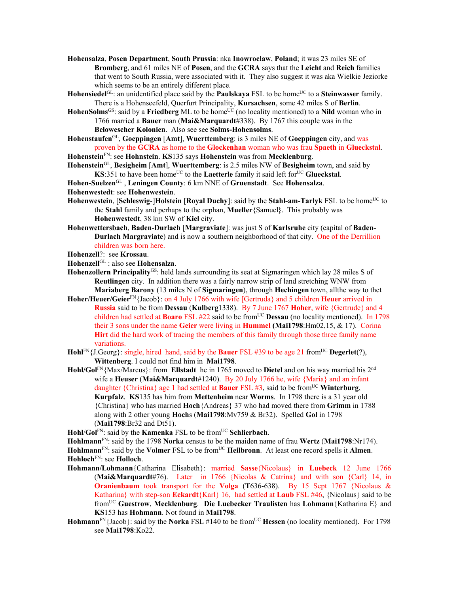- **Hohensalza**, **Posen Department**, **South Prussia**: nka **Inowroclaw**, **Poland**; it was 23 miles SE of **Bromberg**, and 61 miles NE of **Posen**, and the **GCRA** says that the **Leicht** and **Reich** families that went to South Russia, were associated with it. They also suggest it was aka Wielkie Jeziorke which seems to be an entirely different place.
- **Hohensiedel**<sup>GL</sup>: an unidentified place said by the **Paulskaya** FSL to be home<sup>UC</sup> to a **Steinwasser** family. There is a Hohenseefeld, Querfurt Principality, **Kursachsen**, some 42 miles S of **Berlin**.
- **HohenSolms**<sup>GS</sup>: said by a **Friedberg** ML to be home<sup>UC</sup> (no locality mentioned) to a **Nild** woman who in 1766 married a **Bauer** man (**Mai&Marquardt**#338). By 1767 this couple was in the **Belowescher Kolonien**. Also see see **Solms-Hohensolms**.
- **Hohenstaufen**GL, **Goeppingen** [**Amt**], **Wuerttemberg**: is 3 miles NE of **Goeppingen** city, and was proven by the **GCRA** as home to the **Glockenhan** woman who was frau **Spaeth** in **Glueckstal**.

**Hohenstein**FN: see **Hohnstein**. **KS**135 says **Hohenstein** was from **Mecklenburg**.

- **Hohenstein**GL, **Besigheim** [**Amt**], **Wuerttemberg**: is 2.5 miles NW of **Besigheim** town, and said by **KS**:351 to have been home<sup>UC</sup> to the **Laetterle** family it said left for<sup>UC</sup> Glueckstal.
- **Hohen-Suelzen**GL , **Leningen County**: 6 km NNE of **Gruenstadt**. See **Hohensalza**.

**Hohenwestedt**: see **Hohenwestein**.

- **Hohenwestein, [Schleswig-]Holstein [Royal Duchy]: said by the Stahl-am-Tarlyk FSL to be home<sup>UC</sup> to** the **Stahl** family and perhaps to the orphan, **Mueller**{Samuel**}**. This probably was **Hohenwestedt**, 38 km SW of **Kiel** city.
- **Hohenwettersbach**, **Baden-Durlach** [**Margraviate**]: was just S of **Karlsruhe** city (capital of **Baden-Durlach Margraviate**) and is now a southern neighborhood of that city. One of the Derrillion children was born here.
- **Hohenzell**?: see **Krossau**.
- **Hohenzell**GL : also see **Hohensalza**.
- Hohenzollern Principality<sup>GS</sup>: held lands surrounding its seat at Sigmaringen which lay 28 miles S of **Reutlingen** city. In addition there was a fairly narrow strip of land stretching WNW from **Mariaberg Barony** (13 miles N of **Sigmaringen**), through **Hechingen** town, allthe way to thet
- **Hoher/Heuer/Geier**FN{Jacob}: on 4 July 1766 with wife [Gertruda} and 5 children **Heuer** arrived in **Russia** said to be from **Dessau** (**Kulberg**1338). By 7 June 1767 **Hoher**, wife {Gertrude} and 4 children had settled at **Boaro** FSL #22 said to be from<sup>UC</sup> **Dessau** (no locality mentioned). In 1798 their 3 sons under the name **Geier** were living in **Hummel (Mai1798**:Hm02,15, & 17). Corina **Hirt** did the hard work of tracing the members of this family through those three family name variations.
- **Hohl**FN{J.Georg}: single, hired hand, said by the **Bauer** FSL #39 to be age 21 fromUC **Degerlet**(?), **Wittenberg**. I could not find him in **Mai1798**.
- **Hohl/Gol**FN{Max/Marcus}: from **Ellstadt** he in 1765 moved to **Dietel** and on his way married his 2nd wife a **Heuser** (**Mai&Marquardt**#1240). By 20 July 1766 he, wife {Maria} and an infant daughter  ${Christina}$  age 1 had settled at **Bauer** FSL #3, said to be from<sup>UC</sup> **Winterburg**, **Kurpfalz**. **KS**135 has him from **Mettenheim** near **Worms**. In 1798 there is a 31 year old {Christina} who has married **Hoch**{Andreas} 37 who had moved there from **Grimm** in 1788 along with 2 other young **Hoch**s (**Mai1798**:Mv759 & Br32). Spelled **Gol** in 1798 (**Mai1798**:Br32 and Dt51).

**Hohl/Gol<sup>FN</sup>: said by the <b>Kamenka** FSL to be from<sup>UC</sup> **Schlierbach**.

**Hohlmann**FN: said by the 1798 **Norka** census to be the maiden name of frau **Wertz** (**Mai1798**:Nr174). **Hohlmann**<sup>FN</sup>: said by the **Volmer** FSL to be from<sup>UC</sup> **Heilbronn**. At least one record spells it **Almen**. **Hohloch**FN: see **Holloch**.

- **Hohmann/Lohmann**{Catharina Elisabeth}: married **Sasse**{Nicolaus} in **Luebeck** 12 June 1766 (**Mai&Marquardt**#76). Later in 1766 {Nicolas & Catrina} and with son {Carl} 14, in **Oranienbaum** took transport for the **Volga** (**T**636-638). By 15 Sept 1767 {Nicolaus & Katharina} with step-son **Eckardt**{Karl} 16, had settled at **Laub** FSL #46, {Nicolaus} said to be fromUC **Guestrow**, **Mecklenburg**. **Die Luebecker Traulisten** has **Lohmann**{Katharina E} and **KS**153 has **Hohmann**. Not found in **Mai1798**.
- **Hohmann**<sup>FN</sup>{Jacob}: said by the **Norka** FSL #140 to be from<sup>UC</sup> **Hessen** (no locality mentioned). For 1798 see **Mai1798**:Ko22.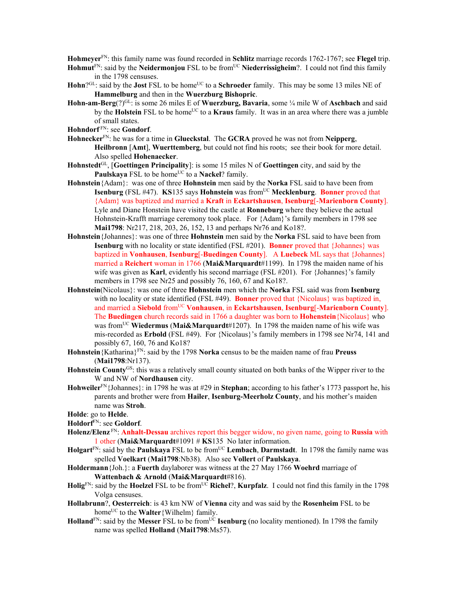**Hohmeyer**FN: this family name was found recorded in **Schlitz** marriage records 1762-1767; see **Flegel** trip.

- Hohmut<sup>FN</sup>: said by the Neidermonjou FSL to be from<sup>UC</sup> Niederrissigheim?. I could not find this family in the 1798 censuses.
- **Hohn**?<sup>GL</sup>: said by the **Jost** FSL to be home<sup>UC</sup> to a **Schroeder** family. This may be some 13 miles NE of **Hammelburg** and then in the **Wuerzburg Bishopric**.
- **Hohn-am-Berg**(?)GL: is some 26 miles E of **Wuerzburg, Bavaria**, some ¼ mile W of **Aschbach** and said by the **Holstein** FSL to be home<sup>UC</sup> to a **Kraus** family. It was in an area where there was a jumble of small states.
- **Hohndorf** FN: see **Gondorf**.
- **Hohnecker**FN: he was for a time in **Glueckstal**. The **GCRA** proved he was not from **Neipperg**, **Heilbronn** [**Amt**], **Wuerttemberg**, but could not find his roots; see their book for more detail. Also spelled **Hohenaecker**.
- **Hohnstedt**GL, [**Goettingen Principality**]: is some 15 miles N of **Goettingen** city, and said by the Paulskaya FSL to be home<sup>UC</sup> to a Nackel? family.
- **Hohnstein**{Adam}: was one of three **Hohnstein** men said by the **Norka** FSL said to have been from **Isenburg** (FSL #47). **KS**135 says **Hohnstein** was from<sup>UC</sup> Mecklenburg. Bonner proved that {Adam} was baptized and married a **Kraft** in **Eckartshausen**, **Isenburg**[-**Marienborn County**]. Lyle and Diane Honstein have visited the castle at **Ronneburg** where they believe the actual Hohnstein-Krafft marriage ceremony took place. For {Adam}'s family members in 1798 see **Mai1798**: Nr217, 218, 203, 26, 152, 13 and perhaps Nr76 and Ko18?.
- **Hohnstein**{Johannes}: was one of three **Hohnstein** men said by the **Norka** FSL said to have been from **Isenburg** with no locality or state identified (FSL #201). **Bonner** proved that {Johannes} was baptized in **Vonhausen**, **Isenburg**[-**Buedingen County**]. A **Luebeck** ML says that {Johannes} married a **Reichert** woman in 1766 (**Mai&Marquardt**#1199). In 1798 the maiden name of his wife was given as **Karl**, evidently his second marriage (FSL #201). For {Johannes}'s family members in 1798 see Nr25 and possibly 76, 160, 67 and Ko18?.
- **Hohnstein**(Nicolaus}: was one of three **Hohnstein** men which the **Norka** FSL said was from **Isenburg**  with no locality or state identified (FSL #49). **Bonner** proved that {Nicolaus} was baptized in, and married a **Siebold** fromUC **Vonhausen**, in **Eckartshausen**, **Isenburg**[-**Marienborn County**]. The **Buedingen** church records said in 1766 a daughter was born to **Hohenstein**{Nicolaus} who was fromUC **Wiedermus** (**Mai&Marquardt**#1207). In 1798 the maiden name of his wife was mis-recorded as **Erbold** (FSL #49). For {Nicolaus}'s family members in 1798 see Nr74, 141 and possibly 67, 160, 76 and Ko18?
- **Hohnstein**{Katharina}FN: said by the 1798 **Norka** census to be the maiden name of frau **Preuss** (**Mai1798**:Nr137).
- **Hohnstein County**GS: this was a relatively small county situated on both banks of the Wipper river to the W and NW of **Nordhausen** city.
- **Hohweiler**FN{Johannes}: in 1798 he was at #29 in **Stephan**; according to his father's 1773 passport he, his parents and brother were from **Hailer**, **Isenburg-Meerholz County**, and his mother's maiden name was **Stroh**.
- **Holde**: go to **Helde**.
- **Holdorf**FN: see **Goldorf**.
- **Holenz/Elenz** FN: **Anhalt-Dessau** archives report this begger widow, no given name, going to **Russia** with 1 other (**Mai&Marquardt**#1091 # **KS**135 No later information.
- **Holgart**<sup>FN</sup>: said by the **Paulskaya** FSL to be from<sup>UC</sup> Lembach, Darmstadt. In 1798 the family name was spelled **Voelkart** (**Mai1798**:Nb38). Also see **Vollert** of **Paulskaya**.
- **Holdermann**{Joh.}: a **Fuerth** daylaborer was witness at the 27 May 1766 **Woehrd** marriage of **Wattenbach & Arnold** (**Mai&Marquardt**#816).
- **Holig**<sup>FN</sup>: said by the **Hoelzel** FSL to be from<sup>UC</sup> **Richel**?, **Kurpfalz**. I could not find this family in the 1798 Volga censuses.
- **Hollabrunn**?, **Oesterreich**: is 43 km NW of **Vienna** city and was said by the **Rosenheim** FSL to be home<sup>UC</sup> to the **Walter** {Wilhelm} family.
- **Holland**<sup>FN</sup>: said by the **Messer** FSL to be from<sup>UC</sup> **Isenburg** (no locality mentioned). In 1798 the family name was spelled **Holland** (**Mai1798**:Ms57).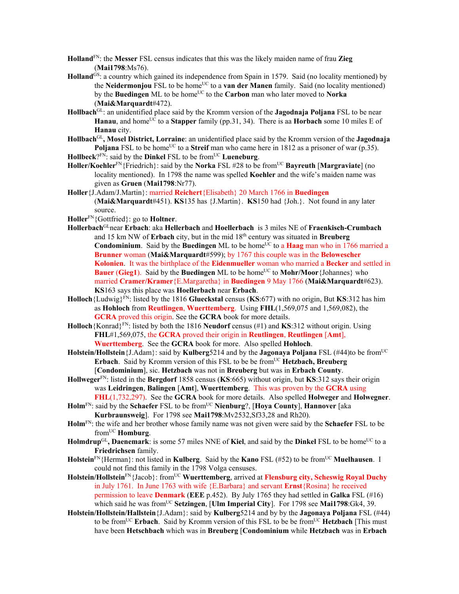- **Holland**FN: the **Messer** FSL census indicates that this was the likely maiden name of frau **Zieg** (**Mai1798**:Ms76).
- **Holland**GS: a country which gained its independence from Spain in 1579. Said (no locality mentioned) by the **Neidermoniou** FSL to be home<sup>UC</sup> to a **van der Manen** family. Said (no locality mentioned) by the **Buedingen** ML to be home<sup>UC</sup> to the **Carbon** man who later moved to **Norka** (**Mai&Marquardt**#472).
- **Hollbach**GL: an unidentified place said by the Kromm version of the **Jagodnaja Poljana** FSL to be near **Hanau**, and home<sup>UC</sup> to a **Stapper** family (pp.31, 34). There is a **Horbach** some 10 miles E of **Hanau** city.
- **Hollbach**GL**, Mosel District, Lorraine**: an unidentified place said by the Kromm version of the **Jagodnaja Poljana** FSL to be home<sup>UC</sup> to a **Streif** man who came here in 1812 as a prisoner of war (p.35).

**Hollbeck**?FN: said by the **Dinkel** FSL to be from<sup>UC</sup> **Lueneburg**.

- **Holler/Koehler**FN{Friedrich}: said by the **Norka** FSL #28 to be fromUC **Bayreuth** [**Margraviate**] (no locality mentioned). In 1798 the name was spelled **Koehler** and the wife's maiden name was given as **Gruen** (**Mai1798**:Nr77).
- **Holler**{J.Adam/J.Martin}: married **Reichert**{Elisabeth} 20 March 1766 in **Buedingen**  (**Mai&Marquardt**#451). **KS**135 has {J.Martin}. **KS**150 had {Joh.}. Not found in any later source.
- **Holler**FN{Gottfried}: go to **Holtner**.
- **Hollerbach**GLnear **Erbach**: aka **Hellerbach** and **Hoellerbach** is 3 miles NE of **Fraenkisch-Crumbach** and 15 km NW of **Erbach** city, but in the mid 18th century was situated in **Breuberg Condominium**. Said by the **Buedingen** ML to be home<sup>UC</sup> to a **Haag** man who in 1766 married a **Brunner** woman (**Mai&Marquardt**#599); by 1767 this couple was in the **Belowescher Kolonien**. It was the birthplace of the **Eidenmueller** woman who married a **Becker** and settled in **Bauer (Gieg1).** Said by the **Buedingen** ML to be home<sup>UC</sup> to **Mohr/Moor** {Johannes} who married **Cramer/Kramer**{E.Margaretha} in **Buedingen** 9 May 1766 (**Mai&Marquardt**#623). **KS**163 says this place was **Hoellerbach** near **Erbach**.
- **Holloch**{Ludwig}FN: listed by the 1816 **Glueckstal** census (**KS**:677) with no origin, But **KS**:312 has him as **Hohloch** from **Reutlingen**, **Wuerttemberg**. Using **FHL**(1,569,075 and 1,569,082), the **GCRA** proved this origin. See the **GCRA** book for more details.
- **Holloch**{Konrad}FN: listed by both the 1816 **Neudorf** census (#1) and **KS**:312 without origin. Using **FHL**#1,569,075, the **GCRA** proved their origin in **Reutlingen**, **Reutlingen** [**Amt**], **Wuerttemberg**. See the **GCRA** book for more. Also spelled **Hohloch**.
- **Holstein/Hollstein** {J.Adam}: said by **Kulberg**5214 and by the **Jagonaya Poljana** FSL (#44)to be from<sup>UC</sup> **Erbach**. Said by Kromm version of this FSL to be be from<sup>UC</sup> **Hetzbach**, Breuberg [**Condominium**], sic. **Hetzbach** was not in **Breuberg** but was in **Erbach County**.
- **Hollweger**FN: listed in the **Bergdorf** 1858 census (**KS**:665) without origin, but **KS**:312 says their origin was **Leidringen**, **Balingen** [**Amt**], **Wuerttemberg**. This was proven by the **GCRA** using **FHL**(1,732,297). See the **GCRA** book for more details. Also spelled **Holweger** and **Holwegner**.
- **Holm**<sup>FN</sup>: said by the **Schaefer** FSL to be from<sup>UC</sup> **Nienburg**?, [**Hoya County**], **Hannover** [aka **Kurbraunsweig**]. For 1798 see **Mai1798**:Mv2532,Sf33,28 and Rh20).
- **Holm**FN: the wife and her brother whose family name was not given were said by the **Schaefer** FSL to be fromUC **Homburg**.
- Holmdrup<sup>GL</sup>, Daenemark: is some 57 miles NNE of Kiel, and said by the Dinkel FSL to be home<sup>UC</sup> to a **Friedrichsen** family.
- **Holstein**<sup>FN</sup>{Herman}: not listed in **Kulberg**. Said by the **Kano** FSL (#52) to be from<sup>UC</sup> Muelhausen. I could not find this family in the 1798 Volga censuses.
- **Holstein/Hollstein**FN{Jacob}: fromUC **Wuerttemberg**, arrived at **Flensburg city, Scheswig Royal Duchy** in July 1761. In June 1763 with wife {E.Barbara} and servant **Ernst**{Rosina} he received permission to leave **Denmark** (**EEE** p.452). By July 1765 they had settled in **Galka** FSL (#16) which said he was from<sup>UC</sup> Setzingen, [Ulm Imperial City]. For 1798 see Mai1798:Gk4, 39.
- **Holstein/Hollstein/Hallstein**{J.Adam}: said by **Kulberg**5214 and by by the **Jagonaya Poljana** FSL (#44) to be from<sup>UC</sup> **Erbach**. Said by Kromm version of this FSL to be be from<sup>UC</sup> **Hetzbach** [This must] have been **Hetschbach** which was in **Breuberg** [**Condominium** while **Hetzbach** was in **Erbach**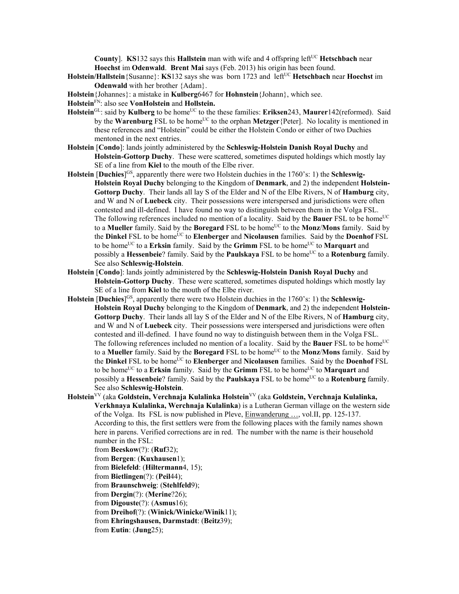**County**]. **KS**132 says this **Hallstein** man with wife and 4 offspring left<sup>UC</sup> **Hetschbach** near **Hoechst** im **Odenwald**. **Brent Mai** says (Feb. 2013) his origin has been found.

- **Holstein/Hallstein** {Susanne}: **KS**132 says she was born 1723 and left<sup>UC</sup> **Hetschbach** near **Hoechst** im **Odenwald** with her brother {Adam}.
- **Holstein**{Johannes}: a mistake in **Kulberg**6467 for **Hohnstein**{Johann}, which see.
- **Holstein**FN: also see **VonHolstein** and **Hollstein.**
- Holstein<sup>GL</sup>: said by **Kulberg** to be home<sup>UC</sup> to the these families: **Eriksen**243, **Maurer**142(reformed). Said by the **Warenburg** FSL to be home<sup>UC</sup> to the orphan **Metzger** {Peter]. No locality is mentioned in these references and "Holstein" could be either the Holstein Condo or either of two Duchies mentoned in the next entries.
- **Holstein** [**Condo**]: lands jointly administered by the **Schleswig-Holstein Danish Royal Duchy** and **Holstein-Gottorp Duchy**. These were scattered, sometimes disputed holdings which mostly lay SE of a line from **Kiel** to the mouth of the Elbe river.
- **Holstein** [Duchies]<sup>GS</sup>, apparently there were two Holstein duchies in the 1760's: 1) the **Schleswig-Holstein Royal Duchy** belonging to the Kingdom of **Denmark**, and 2) the independent **Holstein-Gottorp Duchy**. Their lands all lay S of the Elder and N of the Elbe Rivers, N of **Hamburg** city, and W and N of **Luebeck** city. Their possessions were interspersed and jurisdictions were often contested and ill-defined. I have found no way to distinguish between them in the Volga FSL. The following references included no mention of a locality. Said by the **Bauer** FSL to be home<sup>UC</sup> to a **Mueller** family. Said by the **Boregard** FSL to be home<sup>UC</sup> to the **Monz/Mons** family. Said by the **Dinkel** FSL to be homeUC to **Elenberger** and **Nicolausen** families. Said by the **Doenhof** FSL to be home<sup>UC</sup> to a **Erksin** family. Said by the **Grimm** FSL to be home<sup>UC</sup> to **Marquart** and possibly a **Hessenbeie**? family. Said by the **Paulskaya** FSL to be home<sup>UC</sup> to a **Rotenburg** family. See also **Schleswig-Holstein**.
- **Holstein** [**Condo**]: lands jointly administered by the **Schleswig-Holstein Danish Royal Duchy** and **Holstein-Gottorp Duchy**. These were scattered, sometimes disputed holdings which mostly lay SE of a line from **Kiel** to the mouth of the Elbe river.
- **Holstein** [Duchies]<sup>GS</sup>, apparently there were two Holstein duchies in the 1760's: 1) the **Schleswig-Holstein Royal Duchy** belonging to the Kingdom of **Denmark**, and 2) the independent **Holstein-Gottorp Duchy**. Their lands all lay S of the Elder and N of the Elbe Rivers, N of **Hamburg** city, and W and N of **Luebeck** city. Their possessions were interspersed and jurisdictions were often contested and ill-defined. I have found no way to distinguish between them in the Volga FSL. The following references included no mention of a locality. Said by the **Bauer** FSL to be home<sup>UC</sup> to a **Mueller** family. Said by the **Boregard** FSL to be home<sup>UC</sup> to the **Monz/Mons** family. Said by the **Dinkel** FSL to be home<sup>UC</sup> to **Elenberger** and **Nicolausen** families. Said by the **Doenhof** FSL to be homeUC to a **Erksin** family. Said by the **Grimm** FSL to be homeUC to **Marquart** and possibly a **Hessenbeie**? family. Said by the **Paulskaya** FSL to be home<sup>UC</sup> to a **Rotenburg** family. See also **Schleswig-Holstein**.
- **Holstein**VV (aka **Goldstein, Verchnaja Kulalinka Holstein**VV (aka **Goldstein, Verchnaja Kulalinka, Verkhnaya Kulalinka, Werchnaja Kulalinka**) is a Lutheran German village on the western side of the Volga. Its FSL is now published in Pleve, Einwanderung …, vol.II, pp. 125-137. According to this, the first settlers were from the following places with the family names shown here in parens. Verified corrections are in red. The number with the name is their household number in the FSL:

from **Beeskow**(?): (**Ruf**32);

from **Bergen**: (**Kuxhausen**1);

from **Bielefeld**: (**Hiltermann**4, 15);

from **Bietlingen**(?): (**Peil**44);

from **Braunschweig**: (**Stehlfeld**9);

from **Dergin**(?): (**Merine**?26);

from **Digouste**(?): (**Asmus**16);

from **Dreihof**(?): (**Winick/Winicke/Winik**11);

from **Ehringshausen, Darmstadt**: (**Beitz**39);

from **Eutin**: (**Jung**25);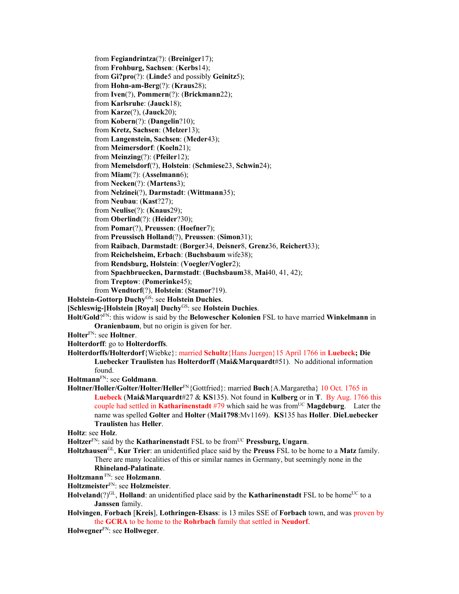from **Fegiandrintza**(?): (**Breiniger**17); from **Frohburg, Sachsen**: (**Kerbs**14); from **Gi?pro**(?): (**Linde**5 and possibly **Geinitz**5); from **Hohn-am-Berg**(?): (**Kraus**28); from **Iven**(?), **Pommern**(?): (**Brickmann**22); from **Karlsruhe**: (**Jauck**18); from **Karze**(?), (**Jauck**20); from **Kobern**(?): (**Dangelin**?10); from **Kretz, Sachsen**: (**Melzer**13); from **Langenstein, Sachsen**: (**Meder**43); from **Meimersdorf**: (**Koeln**21); from **Meinzing**(?): (**Pfeiler**12); from **Memelsdorf**(?), **Holstein**: (**Schmiese**23, **Schwin**24); from **Miam**(?): (**Asselmann**6); from **Necken**(?): (**Martens**3); from **Nelzinei**(?), **Darmstadt**: (**Wittmann**35); from **Neubau**: (**Kast**?27); from **Neulise**(?): (**Knaus**29); from **Oberlind**(?): (**Heider**?30); from **Pomar**(?), **Preussen**: (**Hoefner**7); from **Preussisch Holland**(?), **Preussen**: (**Simon**31); from **Raibach**, **Darmstadt**: (**Borger**34, **Deisner**8, **Grenz**36, **Reichert**33); from **Reichelsheim, Erbach**: (**Buchsbaum** wife38); from **Rendsburg, Holstein**: (**Voegler/Vogler**2); from **Spachbruecken, Darmstadt**: (**Buchsbaum**38, **Mai**40, 41, 42); from **Treptow**: (**Pomerinke**45); from **Wendtorf**(?), **Holstein**: (**Stamor**?19). **Holstein-Gottorp Duchy**GS: see **Holstein Duchies**. **[Schleswig-]Holstein [Royal] Duchy**GS: see **Holstein Duchies**. **Holt/Gold**?FN: this widow is said by the **Belowescher Kolonien** FSL to have married **Winkelmann** in **Oranienbaum**, but no origin is given for her. **Holter**FN: see **Holtner**. **Holterdorff**: go to **Holterdorffs**. **Holterdorffs/Holterdorf**{Wiebke}: married **Schultz**{Hans Juergen}15 April 1766 in **Luebeck; Die Luebecker Traulisten** has **Holterdorff** (**Mai&Marquardt**#51). No additional information found. **Holtmann**FN: see **Goldmann**. **Holtner/Holler/Golter/Holter/Heller**FN{Gottfried}: married **Buch**{A.Margaretha} 10 Oct. 1765 in **Luebeck** (**Mai&Marquardt**#27 & **KS**135). Not found in **Kulberg** or in **T**. By Aug. 1766 this couple had settled in **Katharinenstadt** #79 which said he was from<sup>UC</sup> **Magdeburg**. Later the name was spelled **Golter** and **Holter** (**Mai1798**:Mv1169). **KS**135 has **Holler**. **DieLuebecker Traulisten** has **Heller**. **Holtz**: see **Holz**. Holtzer<sup>FN</sup>: said by the **Katharinenstadt** FSL to be from<sup>UC</sup> Pressburg, Ungarn. **Holtzhausen**GL, **Kur Trier**: an unidentified place said by the **Preuss** FSL to be home to a **Matz** family. There are many localities of this or similar names in Germany, but seemingly none in the **Rhineland-Palatinate**. **Holtzmann** FN: see **Holzmann**.

- **Holtzmeister**FN: see **Holzmeister**.
- **Holveland**(?)<sup>GL</sup>, **Holland**: an unidentified place said by the **Katharinenstadt** FSL to be home<sup>UC</sup> to a **Janssen** family.
- **Holvingen**, **Forbach** [**Kreis**], **Lothringen-Elsass**: is 13 miles SSE of **Forbach** town, and was proven by the **GCRA** to be home to the **Rohrbach** family that settled in **Neudorf**.
- **Holwegner**FN: see **Hollweger**.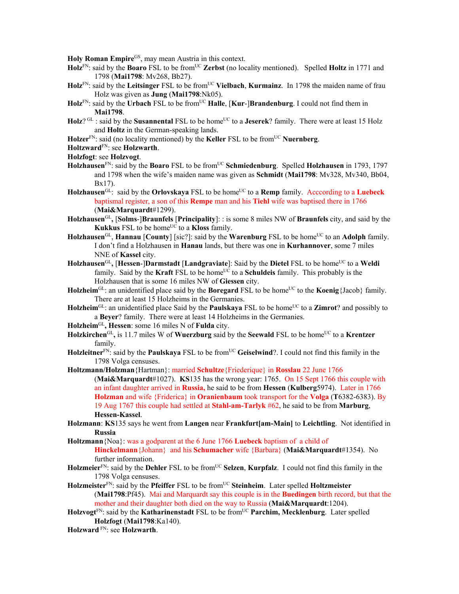**Holy Roman Empire**GS, may mean Austria in this context.

- **Holz**FN: said by the **Boaro** FSL to be fromUC **Zerbst** (no locality mentioned). Spelled **Holtz** in 1771 and 1798 (**Mai1798**: Mv268, Bb27).
- **Holz**FN: said by the **Leitsinger** FSL to be fromUC **Vielbach**, **Kurmainz**. In 1798 the maiden name of frau Holz was given as **Jung** (**Mai1798**:Nk05).
- Holz<sup>FN</sup>: said by the Urbach FSL to be from<sup>UC</sup> Halle, [Kur-]Brandenburg. I could not find them in **Mai1798**.
- Holz? GL : said by the **Susannental** FSL to be home<sup>UC</sup> to a **Jeserek**? family. There were at least 15 Holz and **Holtz** in the German-speaking lands.
- **Holzer**<sup>FN</sup>: said (no locality mentioned) by the **Keller** FSL to be from<sup>UC</sup> **Nuernberg**.
- **Holtzward**FN: see **Holzwarth**.
- **Holzfogt**: see **Holzvogt**.
- **Holzhausen**<sup>FN</sup>: said by the **Boaro** FSL to be from<sup>UC</sup> **Schmiedenburg**. Spelled **Holzhausen** in 1793, 1797 and 1798 when the wife's maiden name was given as **Schmidt** (**Mai1798**: Mv328, Mv340, Bb04, Bx17).
- **Holzhausen**GL: said by the **Orlovskaya** FSL to be homeUC to a **Remp** family. Acccording to a **Luebeck** baptismal register, a son of this **Rempe** man and his **Tiehl** wife was baptised there in 1766 (**Mai&Marquardt**#1299).
- **Holzhausen**GL**,** [**Solms**-]**Braunfels** [**Principality**]: : is some 8 miles NW of **Braunfels** city, and said by the **Kukkus** FSL to be home<sup>UC</sup> to a **Kloss** family.
- **Holzhausen**<sup>GL</sup>, **Hannau** [**County**] [sic?]: said by the **Warenburg** FSL to be home<sup>UC</sup> to an **Adolph** family. I don't find a Holzhausen in **Hanau** lands, but there was one in **Kurhannover**, some 7 miles NNE of **Kassel** city.
- **Holzhausen**<sup>GL</sup>, **[Hessen-]Darmstadt [Landgraviate**]: Said by the Dietel FSL to be home<sup>UC</sup> to a Weldi family. Said by the **Kraft** FSL to be home<sup>UC</sup> to a **Schuldeis** family. This probably is the Holzhausen that is some 16 miles NW of **Giessen** city.
- **Holzheim**<sup>GL:</sup> an unidentified place said by the **Boregard** FSL to be home<sup>UC</sup> to the **Koenig**{Jacob} family. There are at least 15 Holzheims in the Germanies.
- **Holzheim**<sup>GL</sup>: an unidentified place Said by the **Paulskaya** FSL to be home<sup>UC</sup> to a **Zimrot**? and possibly to a **Beyer**? family. There were at least 14 Holzheims in the Germanies.
- **Holzheim**GL**, Hessen**: some 16 miles N of **Fulda** city.
- **Holzkirchen**<sup>GL</sup>, is 11.7 miles W of **Wuerzburg** said by the **Seewald** FSL to be home<sup>UC</sup> to a **Krentzer** family.
- Holzleitner<sup>FN:</sup> said by the **Paulskaya** FSL to be from<sup>UC</sup> Geiselwind?. I could not find this family in the 1798 Volga censuses.

**Holtzmann/Holzman**{Hartman}: married **Schultze**{Friederique} in **Rosslau** 22 June 1766 (**Mai&Marquardt**#1027). **KS**135 has the wrong year: 1765. On 15 Sept 1766 this couple with an infant daughter arrived in **Russia,** he said to be from **Hessen** (**Kulberg**5974). Later in 1766 **Holzman** and wife {Friderica} in **Oranienbaum** took transport for the **Volga** (**T**6382-6383). By 19 Aug 1767 this couple had settled at **Stahl-am-Tarlyk** #62, he said to be from **Marburg**, **Hessen-Kassel**.

- **Holzmann**: **KS**135 says he went from **Langen** near **Frankfurt[am-Main]** to **Leichtling**. Not identified in **Russia**
- **Holtzmann**{Noa}: was a godparent at the 6 June 1766 **Luebeck** baptism of a child of **Hinckelmann**{Johann} and his **Schumacher** wife {Barbara} (**Mai&Marquardt**#1354). No further information.
- **Holzmeier**<sup>FN</sup>: said by the **Dehler** FSL to be from<sup>UC</sup> Selzen, **Kurpfalz**. I could not find this family in the 1798 Volga censuses.
- Holzmeister<sup>FN</sup>: said by the Pfeiffer FSL to be from<sup>UC</sup> Steinheim. Later spelled Holtzmeister (**Mai1798**:Pf45). Mai and Marquardt say this couple is in the **Buedingen** birth record, but that the mother and their daughter both died on the way to Russia (**Mai&Marquardt**:1204).
- **Holzvogt**FN: said by the **Katharinenstadt** FSL to be fromUC **Parchim, Mecklenburg**. Later spelled **Holzfogt** (**Mai1798**:Ka140).

**Holzward** FN: see **Holzwarth**.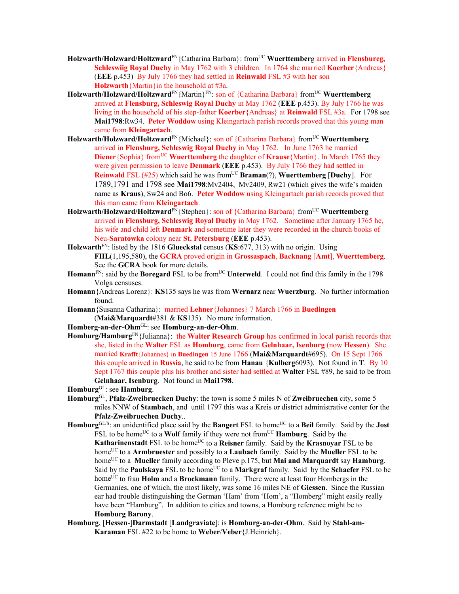- Holzwarth/Holzward/Holtzward<sup>FN</sup>{Catharina Barbara}: from<sup>UC</sup> Wuerttemberg arrived in Flensbureg, **Schleswiig Royal Duchy** in May 1762 with 3 children. In 1764 she married **Koerber**{Andreas} (**EEE** p.453) By July 1766 they had settled in **Reinwald** FSL #3 with her son **Holzwarth**{Martin}in the household at #3a.
- Holzwarth/Holzward/Holtzward<sup>FN</sup>{Martin}<sup>FN</sup>: son of {Catharina Barbara} from<sup>UC</sup> Wuerttemberg arrived at **Flensburg, Schleswig Royal Duchy** in May 1762 (**EEE** p.453). By July 1766 he was living in the household of his step-father **Koerber**{Andreas} at **Reinwald** FSL #3a. For 1798 see **Mai1798**:Rw34. **Peter Woddow** using Kleingartach parish records proved that this young man came from **Kleingartach**.
- Holzwarth/Holzward/Holtzward<sup>FN</sup>{Michael}: son of {Catharina Barbara} from<sup>UC</sup> Wuerttemberg arrived in **Flensburg, Schleswig Royal Duchy** in May 1762. In June 1763 he married **Diener**{Sophia} from<sup>UC</sup> **Wuerttemberg** the daughter of **Krause**{Martin}. In March 1765 they were given permission to leave **Denmark** (**EEE** p.453). By July 1766 they had settled in **Reinwald** FSL (#25) which said he was from<sup>UC</sup> **Braman**(?), **Wuerttemberg** [Duchy]. For 1789,1791 and 1798 see **Mai1798**:Mv2404, Mv2409, Rw21 (which gives the wife's maiden name as **Kraus**), Sw24 and Bo6. **Peter Woddow** using Kleingartach parish records proved that this man came from **Kleingartach**.
- **Holzwarth/Holzward/Holtzward**<sup>FN</sup>{Stephen}: son of {Catharina Barbara} from<sup>UC</sup> Wuerttemberg arrived in **Flensburg, Schleswig Royal Duchy** in May 1762. Sometime after January 1765 he, his wife and child left **Denmark** and sometime later they were recorded in the church books of Neu-**Saratowka** colony near **St. Petersburg** (**EEE** p.453).
- **Holzwarth**FN: listed by the 1816 **Glueckstal** census (**KS**:677, 313) with no origin. Using **FHL**(1,195,580), the **GCRA** proved origin in **Grossaspach**, **Backnang** [**Amt**], **Wuerttemberg**. See the **GCRA** book for more details.
- **Homann**<sup>FN</sup>: said by the **Boregard** FSL to be from<sup>UC</sup> **Unterweld**. I could not find this family in the 1798 Volga censuses.
- **Homann**{Andreas Lorenz}: **KS**135 says he was from **Wernarz** near **Wuerzburg**. No further information found.
- **Homann**{Susanna Catharina}: married **Lehner**{Johannes} 7 March 1766 in **Buedingen**  (**Mai&Marquardt**#381 & **KS**135). No more information.
- **Homberg-an-der-Ohm**GL: see **Homburg-an-der-Ohm**.
- **Homburg/Hamburg**FN{Julianna}: the **Walter Research Group** has confirmed in local parish records that she, listed in the **Walter** FSL as **Homburg**, came from **Gelnhaar, Isenburg** (now **Hessen**). She married **Krafft**{Johannes} in **Buedingen** 15 June 1766 (**Mai&Marquardt**#695). On 15 Sept 1766 this couple arrived in **Russia**, he said to be from **Hanau** {**Kulberg**6093). Not found in **T**. By 10 Sept 1767 this couple plus his brother and sister had settled at **Walter** FSL #89, he said to be from **Gelnhaar, Isenburg**. Not found in **Mai1798**.
- **Homburg**GL: see **Hamburg**.
- **Homburg**GL, **Pfalz-Zweibruecken Duchy**: the town is some 5 miles N of **Zweibruechen** city, some 5 miles NNW of **Stambach**, and until 1797 this was a Kreis or district administrative center for the **Pfalz-Zweibruechen Duchy**..
- **Homburg**<sup>GL/S</sup>: an unidentified place said by the **Bangert** FSL to home<sup>UC</sup> to a **Beil** family. Said by the **Jost** FSL to be home<sup>UC</sup> to a **Wolf** family if they were not from<sup>UC</sup> **Hamburg**. Said by the **Katharinenstadt** FSL to be home<sup>UC</sup> to a **Reisner** family. Said by the **Krasnoyar** FSL to be homeUC to a **Armbruester** and possibly to a **Laubach** family. Said by the **Mueller** FSL to be homeUC to a **Mueller** family according to Pleve p.175, but **Mai and Marquardt** say **Hamburg**. Said by the **Paulskaya** FSL to be home<sup>UC</sup> to a **Markgraf** family. Said by the **Schaefer** FSL to be home<sup>UC</sup> to frau **Holm** and a **Brockmann** family. There were at least four Hombergs in the Germanies, one of which, the most likely, was some 16 miles NE of **Giessen**. Since the Russian ear had trouble distinguishing the German 'Ham' from 'Hom', a "Homberg" might easily really have been "Hamburg". In addition to cities and towns, a Homburg reference might be to **Homburg Barony**.
- **Homburg**, [**Hessen**-]**Darmstadt** [**Landgraviate**]: is **Homburg-an-der-Ohm**. Said by **Stahl-am-Karaman** FSL #22 to be home to **Weber**/**Veber**{J.Heinrich}.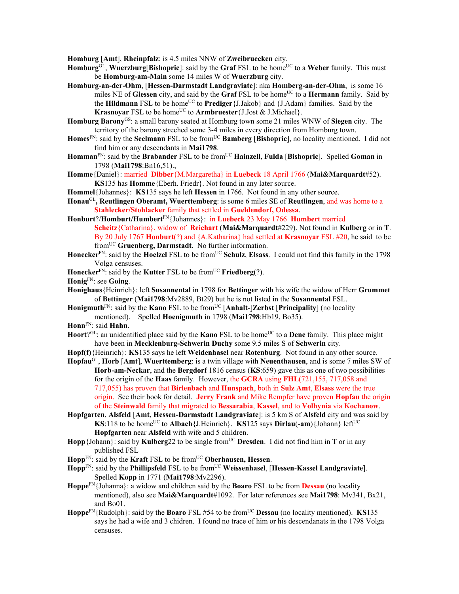**Homburg** [**Amt**], **Rheinpfalz**: is 4.5 miles NNW of **Zweibruecken** city.

- Homburg<sup>GL</sup>, Wuerzburg[Bishopric]: said by the Graf FSL to be home<sup>UC</sup> to a Weber family. This must be **Homburg-am-Main** some 14 miles W of **Wuerzburg** city.
- **Homburg-an-der-Ohm**, [**Hessen-Darmstadt Landgraviate**]: nka **Homberg-an-der-Ohm**, is some 16 miles NE of Giessen city, and said by the Graf FSL to be home<sup>UC</sup> to a **Hermann** family. Said by the **Hildmann** FSL to be home<sup>UC</sup> to **Prediger** {J.Jakob} and {J.Adam} families. Said by the **Krasnoyar** FSL to be home<sup>UC</sup> to **Armbruester** {J.Jost & J.Michael}.
- **Homburg Barony**GS: a small barony seated at Homburg town some 21 miles WNW of **Siegen** city. The territory of the barony streched some 3-4 miles in every direction from Homburg town.
- **Homes**FN: said by the **Seelmann** FSL to be fromUC **Bamberg** [**Bishopric**], no locality mentioned. I did not find him or any descendants in **Mai1798**.
- **Homman**FN: said by the **Brabander** FSL to be fromUC **Hainzell**, **Fulda** [**Bishopric**]. Spelled **Goman** in 1798 (**Mai1798**:Bn16,51).,
- **Homme**{Daniel}: married **Dibber**{M.Margaretha} in **Luebeck** 18 April 1766 (**Mai&Marquardt**#52). **KS**135 has **Homme**{Eberh. Friedr}. Not found in any later source.
- **Hommel**{Johannes}: **KS**135 says he left **Hessen** in 1766. Not found in any other source.
- **Honau**GL**, Reutlingen Oberamt, Wuerttemberg**: is some 6 miles SE of **Reutlingen**, and was home to a **Stahlecker/Stohlacker** family that settled in **Gueldendorf, Odessa**.
- **Honburt**?/**Homburt/Humbert**FN{Johannes}: in **Luebeck** 23 May 1766 **Humbert** married **Scheitz**{Catharina}, widow of **Reichart** (**Mai&Marquardt**#229). Not found in **Kulberg** or in **T**. By 20 July 1767 **Honburt**(?) and {A.Katharina} had settled at **Krasnoyar** FSL #20, he said to be fromUC **Gruenberg, Darmstadt.** No further information.
- Honecker<sup>FN</sup>: said by the Hoelzel FSL to be from<sup>UC</sup> Schulz, Elsass. I could not find this family in the 1798 Volga censuses.
- **Honecker**FN: said by the **Kutter** FSL to be fromUC **Friedberg**(?).
- **Honig**FN: see **Going**.
- **Honighaus**{Heinrich}: left **Susannental** in 1798 for **Bettinger** with his wife the widow of Herr **Grummet** of **Bettinger** (**Mai1798**:Mv2889, Bt29) but he is not listed in the **Susannental** FSL.
- **Honigmuth**<sup>FN</sup>: said by the **Kano** FSL to be from<sup>UC</sup> [Anhalt-]Zerbst [Principality] (no locality mentioned). Spelled **Hoenigmuth** in 1798 (**Mai1798**:Hb19, Bo35).
- **Honn**FN: said **Hahn**.
- **Hoort**?<sup>GL:</sup> an unidentified place said by the **Kano** FSL to be home<sup>UC</sup> to a **Dene** family. This place might have been in **Mecklenburg-Schwerin Duchy** some 9.5 miles S of **Schwerin** city.
- **Hopf(f)**{Heinrich}: **KS**135 says he left **Weidenhasel** near **Rotenburg**. Not found in any other source.
- **Hopfau**GL, **Horb** [**Amt**], **Wuerttemberg**: is a twin village with **Neuenthausen**, and is some 7 miles SW of **Horb-am-Neckar**, and the **Bergdorf** 1816 census (**KS**:659) gave this as one of two possibilities for the origin of the **Haas** family. However, the **GCRA** using **FHL**(721,155, 717,058 and 717,055) has proven that **Birlenbach** and **Hunspach**, both in **Sulz Amt**, **Elsass** were the true origin. See their book for detail. **Jerry Frank** and Mike Rempfer have proven **Hopfau** the origin of the **Steinwald** family that migrated to **Bessarabia**, **Kassel**, and to **Volhynia** via **Kochanow**.
- **Hopfgarten**, **Alsfeld** [**Amt**, **Hessen-Darmstadt Landgraviate**]: is 5 km S of **Alsfeld** city and was said by **KS**:118 to be home<sup>UC</sup> to **Albach**{J.Heinrich}. **KS**125 says **Dirlau(-am**){Johann} left<sup>UC</sup> **Hopfgarten** near **Alsfeld** with wife and 5 children.
- Hopp {Johann}: said by **Kulberg**22 to be single from<sup>UC</sup> Dresden. I did not find him in T or in any published FSL
- **Hopp**FN: said by the **Kraft** FSL to be fromUC **Oberhausen, Hessen**.
- **Hopp**FN: said by the **Phillipsfeld** FSL to be fromUC **Weissenhasel**, [**Hessen**-**Kassel Landgraviate**]. Spelled **Kopp** in 1771 (**Mai1798**:Mv2296).
- **Hoppe**FN{Johanna}: a widow and children said by the **Boaro** FSL to be from **Dessau** (no locality mentioned), also see **Mai&Marquardt**#1092. For later references see **Mai1798**: Mv341, Bx21, and Bo01.
- **Hoppe**FN{Rudolph}: said by the **Boaro** FSL #54 to be from<sup>UC</sup> **Dessau** (no locality mentioned). **KS**135 says he had a wife and 3 chidren. I found no trace of him or his descendanats in the 1798 Volga censuses.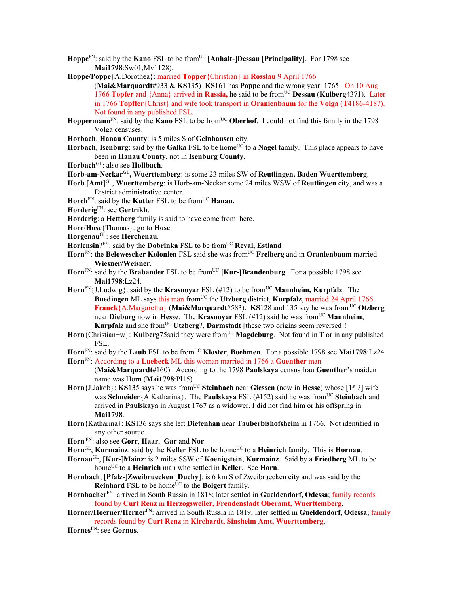- **Hoppe**<sup>FN</sup>: said by the **Kano** FSL to be from<sup>UC</sup> [Anhalt-]Dessau [Principality]. For 1798 see **Mai1798**:Sw01,Mv1128).
- **Hoppe/Poppe**{A.Dorothea}: married **Topper**{Christian} in **Rosslau** 9 April 1766
	- (**Mai&Marquardt**#933 & **KS**135) **KS**161 has **Poppe** and the wrong year: 1765. On 10 Aug 1766 **Topfer** and {Anna} arrived in **Russia,** he said to be fromUC **Dessau** (**Kulberg**4371). Later in 1766 **Topffer**{Christ} and wife took transport in **Oranienbaum** for the **Volga** (**T**4186-4187). Not found in any published FSL.
- **Hoppermann**<sup>FN</sup>: said by the **Kano** FSL to be from<sup>UC</sup> **Oberhof**. I could not find this family in the 1798 Volga censuses.
- **Horbach**, **Hanau County**: is 5 miles S of **Gelnhausen** city.
- Horbach, **Isenburg**: said by the Galka FSL to be home<sup>UC</sup> to a Nagel family. This place appears to have been in **Hanau County**, not in **Isenburg County**.
- **Horbach**GL: also see **Hollbach**.
- **Horb-am-Neckar**GL**, Wuerttemberg**: is some 23 miles SW of **Reutlingen, Baden Wuerttemberg**.
- **Horb** [**Amt**] GL, **Wuerttemberg**: is Horb-am-Neckar some 24 miles WSW of **Reutlingen** city, and was a District administrative center.
- Horch<sup>FN</sup>: said by the **Kutter** FSL to be from<sup>UC</sup> **Hanau.**
- **Horderig**FN: see **Gertrikh**.
- **Horderig**: a **Hettberg** family is said to have come from here.
- **Hore**/**Hose**{Thomas}: go to **Hose**.
- **Horgenau**GL: see **Herchenau**.
- **Horlensin**?FN: said by the **Dobrinka** FSL to be fromUC **Reval, Estland**
- Horn<sup>FN</sup>: the Belowescher Kolonien FSL said she was from<sup>UC</sup> Freiberg and in Oranienbaum married **Wiesner/Weisner**.
- Horn<sup>FN</sup>: said by the **Brabander** FSL to be from<sup>UC</sup> **[Kur-]Brandenburg**. For a possible 1798 see **Mai1798**:Lz24.
- Horn<sup>FN</sup>{J.Ludwig}: said by the **Krasnoyar** FSL (#12) to be from<sup>UC</sup> **Mannheim, Kurpfalz**. The **Buedingen** ML says this man from<sup>UC</sup> the Utzberg district, **Kurpfalz**, married 24 April 1766 **Franck**{A.Margaretha} (**Mai&Marquardt**#583). **KS**128 and 135 say he was from UC **Otzberg** near **Dieburg** now in **Hesse.** The **Krasnovar** FSL (#12) said he was from<sup>UC</sup> **Mannheim**, **Kurpfalz** and she from<sup>UC</sup> **Utzberg**?, **Darmstadt** [these two origins seem reversed]!
- Horn {Christian+w}: **Kulberg**75said they were from<sup>UC</sup> Magdeburg. Not found in T or in any published FSL.
- Horn<sup>FN</sup>: said by the Laub FSL to be from<sup>UC</sup> Kloster, Boehmen. For a possible 1798 see Mai1798:Lz24.
- **Horn**FN: According to a **Luebeck** ML this woman married in 1766 a **Guenther** man
	- (**Mai&Marquardt**#160). According to the 1798 **Paulskaya** census frau **Guenther**'s maiden name was Horn (**Mai1798**:Pl15).
- **Horn**{J.Jakob}: **KS**135 says he was from<sup>UC</sup> Steinbach near Giessen (now in Hesse) whose [1<sup>st</sup> ?] wife was **Schneider**{A.Katharina}. The **Paulskaya** FSL (#152) said he was fromUC **Steinbach** and arrived in **Paulskaya** in August 1767 as a widower. I did not find him or his offspring in **Mai1798**.
- **Horn**{Katharina}: **KS**136 says she left **Dietenhan** near **Tauberbishofsheim** in 1766. Not identified in any other source.
- **Horn** FN: also see **Gorr**, **Haar**, **Gar** and **Nor**.
- Horn<sup>GL</sup>, **Kurmainz**: said by the **Keller** FSL to be home<sup>UC</sup> to a **Heinrich** family. This is **Hornau**.
- **Hornau**GL, [**Kur-**]**Mainz**: is 2 miles SSW of **Koenigstein**, **Kurmainz**. Said by a **Friedberg** ML to be homeUC to a **Heinrich** man who settled in **Keller**. See **Horn**.
- **Hornbach**, [**Pfalz**-]**Zweibruecken** [**Duchy**]: is 6 km S of Zweibruecken city and was said by the **Reinhard** FSL to be home<sup>UC</sup> to the **Bolgert** family.
- **Hornbacher**FN: arrived in South Russia in 1818; later settled in **Gueldendorf, Odessa**; family records found by **Curt Renz** in **Herzogsweiler, Freudenstadt Oberamt, Wuerttemberg**.
- **Horner/Hoerner/Herner**FN: arrived in South Russia in 1819; later settled in **Gueldendorf, Odessa**; family records found by **Curt Renz** in **Kirchardt, Sinsheim Amt, Wuerttemberg**.
- **Hornes**FN: see **Gornus**.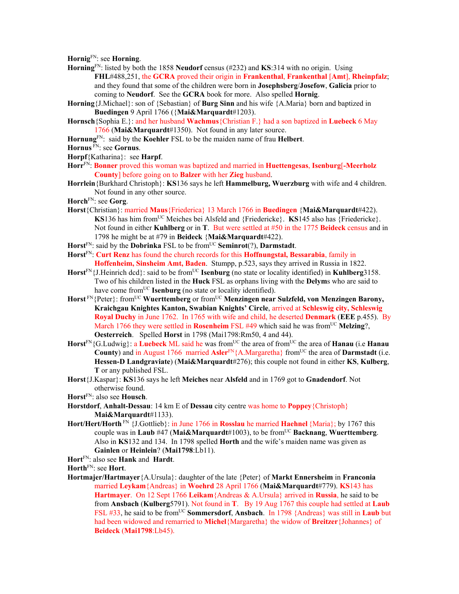**Hornig**FN: see **Horning**.

- **Horning**FN: listed by both the 1858 **Neudorf** census (#232) and **KS**:314 with no origin. Using **FHL**#488,251, the **GCRA** proved their origin in **Frankenthal**, **Frankenthal** [**Amt**], **Rheinpfalz**; and they found that some of the children were born in **Josephsberg**/**Josefow**, **Galicia** prior to coming to **Neudorf**. See the **GCRA** book for more. Also spelled **Hornig**.
- **Horning**{J.Michael}: son of {Sebastian} of **Burg Sinn** and his wife {A.Maria} born and baptized in **Buedingen** 9 April 1766 ({**Mai&Marquardt**#1203).
- **Hornsch**{Sophia E.}: and her husband **Wachmus**{Christian F.} had a son baptized in **Luebeck** 6 May 1766 (**Mai&Marquardt**#1350). Not found in any later source.
- **Hornung**FN: said by the **Koehler** FSL to be the maiden name of frau **Helbert**.
- **Hornus** FN: see **Gornus**.
- **Horpf**{Katharina}: see **Harpf**.
- **Horr**FN: **Bonner** proved this woman was baptized and married in **Huettengesas**, **Isenburg**[**-Meerholz County**] before going on to **Balzer** with her **Zieg** husband.
- **Horrlein**{Burkhard Christoph}: **KS**136 says he left **Hammelburg, Wuerzburg** with wife and 4 children. Not found in any other source.

**Horch**FN: see **Gorg**.

- **Horst**{Christian}: married **Maus**{Friederica} 13 March 1766 in **Buedingen** {**Mai&Marquardt**#422). **KS**136 has him from<sup>UC</sup> Meiches bei Alsfeld and {Friedericke}. **KS**145 also has {Friedericke}. Not found in either **Kuhlberg** or in **T**. But were settled at #50 in the 1775 **Beideck** census and in 1798 he might be at #79 in **Beideck** {**Mai&Marquardt**#422).
- **Horst**FN: said by the **Dobrinka** FSL to be fromUC **Seminrot**(?), **Darmstadt**.
- **Horst**FN: **Curt Renz** has found the church records for this **Hoffnungstal, Bessarabia**, family in **Hoffenheim, Sinsheim Amt, Baden**. Stumpp, p.523, says they arrived in Russia in 1822.
- Horst<sup>FN</sup>{J.Heinrich dcd}: said to be from<sup>UC</sup> **Isenburg** (no state or locality identified) in **Kuhlberg**3158. Two of his children listed in the **Huck** FSL as orphans living with the **Delym**s who are said to have come from<sup>UC</sup> **Isenburg** (no state or locality identified).
- **Horst** FN{Peter}: fromUC **Wuerttemberg** or fromUC **Menzingen near Sulzfeld, von Menzingen Barony, Kraichgau Knightes Kanton, Swabian Knights' Circle**, arrived at **Schleswig city, Schleswig Royal Duchy** in June 1762. In 1765 with wife and child, he deserted **Denmark** (**EEE** p.455). By March 1766 they were settled in **Rosenheim** FSL  $#49$  which said he was from<sup>UC</sup> Melzing?, **Oesterreich**. Spelled **Horst** in 1798 (Mai1798:Rm50, 4 and 44).
- Horst<sup>FN</sup>{G.Ludwig}: a Luebeck ML said he was from<sup>UC</sup> the area of from<sup>UC</sup> the area of **Hanau** (i.e **Hanau County**) and in August 1766 married **Asler**<sup>FN</sup>{A.Margaretha} from<sup>UC</sup> the area of **Darmstadt** (i.e. **Hessen-D Landgraviate**) (**Mai&Marquardt**#276); this couple not found in either **KS**, **Kulberg**, **T** or any published FSL.
- **Horst**{J.Kaspar}: **KS**136 says he left **Meiches** near **Alsfeld** and in 1769 got to **Gnadendorf**. Not otherwise found.
- **Horst**FN: also see **Housch**.
- **Horstdorf**, **Anhalt-Dessau**: 14 km E of **Dessau** city centre was home to **Poppey**{Christoph} **Mai&Marquardt**#1133).
- **Hort/Hert/Horth** FN {J.Gottlieb}: in June 1766 in **Rosslau** he married **Haehnel** {Maria}; by 1767 this couple was in **Laub** #47 (**Mai&Marquardt**#1003), to be fromUC **Backnang**, **Wuerttemberg**. Also in **KS**132 and 134. In 1798 spelled **Horth** and the wife's maiden name was given as **Gainlen** or **Heinlein**? (**Mai1798**:Lb11).
- **Hort**FN: also see **Hank** and **Hardt**.

**Horth**FN: see **Hort**.

**Hortmajer/Hartmayer**{A.Ursula}: daughter of the late {Peter} of **Markt Ennersheim** in **Franconia**  married **Leykam**{Andreas} in **Woehrd** 28 April 1766 (**Mai&Marquardt**#779). **KS**143 has **Hartmayer**. On 12 Sept 1766 **Leikam**{Andreas & A.Ursula} arrived in **Russia**, he said to be from **Ansbach** (**Kulberg**5791). Not found in **T**. By 19 Aug 1767 this couple had settled at **Laub** FSL #33, he said to be fromUC **Sommersdorf**, **Ansbach**. In 1798 {Andreas} was still in **Laub** but had been widowed and remarried to **Michel**{Margaretha} the widow of **Breitzer**{Johannes} of **Beideck** (**Mai1798**:Lb45).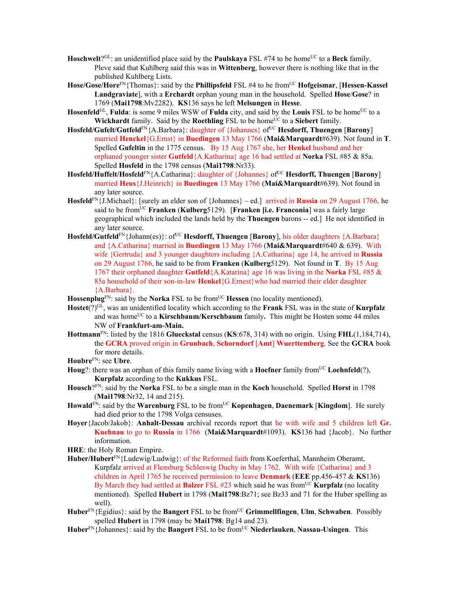- **Hoschwelt**?<sup>GL</sup>: an unidentified place said by the **Paulskaya** FSL #74 to be home<sup>UC</sup> to a **Beck** family. Pleve said that Kuhlberg said this was in **Wittenberg**, however there is nothing like that in the published Kuhlberg Lists.
- **Hose/Gose/Hore**FN{Thomas}: said by the **Phillipsfeld** FSL #4 to be fromUC **Hofgeismar**, [**Hessen-Kassel Landgraviate**], with a **Erchardt** orphan young man in the household. Spelled **Hose**/**Gose**? in 1769 (**Mai1798**:Mv2282). **KS**136 says he left **Melsungen** in **Hesse**.
- Hosenfeld<sup>GL</sup>, Fulda: is some 9 miles WSW of Fulda city, and said by the Louis FSL to be home<sup>UC</sup> to a **Wickhardt** family. Said by the **Roethling** FSL to be home<sup>UC</sup> to a **Siebert** family.
- **Hosfeld/Gufelt/Gutfeld**<sup>FN</sup>{A.Barbara}: daughter of {Johannes} of <sup>UC</sup> **Hesdorff, Thuengen** [**Barony**] married **Henckel**{G.Ernst} in **Buedingen** 13 May 1766 (**Mai&Marquardt**#639). Not found in **T**. Spelled **Gufeltin** in the 1775 census. By 15 Aug 1767 she, her **Henkel** husband and her orphaned younger sister **Gutfeld**{A.Katharina} age 16 had settled at **Norka** FSL #85 & 85a. Spelled **Hosfeld** in the 1798 census (**Mai1798**:Nr33).
- Hosfeld/Huffelt/Hosfeld<sup>FN</sup>{A.Catharina}: daughter of {Johannes} of<sup>UC</sup> Hesdorff, Thuengen [Barony] married **Heus**{J.Heinrich} in **Buedingen** 13 May 1766 (**Mai&Marquardt**#639). Not found in any later source.
- **Hosfeld**FN{J.Michael}: [surely an elder son of {Johannes} ed.] arrived in **Russia** on 29 August 1766, he said to be fromUC **Franken** (**Kulberg**5129). [**Franken [i.e. Franconia**] was a fairly large geographical which included the lands held by the **Thuengen** barons -- ed.] He not identified in any later source.
- **Hosfeld/Gutfeld**<sup>FN</sup>{Johann(es)}: of<sup>UC</sup> **Hesdorff, Thuengen** [**Barony**], his older daughters {A.Barbara} and {A.Catharina} married in **Buedingen** 13 May 1766 (**Mai&Marquardt**#640 & 639). With wife {Gertruda} and 3 younger daughters including {A.Catharina} age 14, he arrived in **Russia** on 29 August 1766, he said to be from **Franken** (**Kulberg**5129). Not found in **T**. By 15 Aug 1767 their orphaned daughter **Gutfeld**{A.Katarina} age 16 was living in the **Norka** FSL #85 & 85a household of their son-in-law **Henkel**{G.Ernest}who had married their elder daughter {A.Barbara}.
- **Hossenplug**<sup>FN</sup>: said by the **Norka** FSL to be from<sup>UC</sup> **Hessen** (no locality mentioned).
- Hostet(?)<sup>GL</sup>, was an unidentified locality which according to the **Frank** FSL was in the state of **Kurpfalz** and was home<sup>UC</sup> to a **Kirschbaum/Kerschbaum** family. This might be Hosten some 44 miles NW of **Frankfurt-am-Main.**
- **Hottmann**FN: listed by the 1816 **Glueckstal** census (**KS**:678, 314) with no origin. Using **FHL**(1,184,714), the **GCRA** proved origin in **Grunbach**, **Schorndorf** [**Amt**] **Wuerttemberg**. See the **GCRA** book for more details.
- **Houbre**FN: see **Ubre**.
- **Houg**?: there was an orphan of this family name living with a **Hoefner** family from<sup>UC</sup> **Loehnfeld**(?), **Kurpfalz** according to the **Kukkus** FSL.
- **Housch**?FN: said by the **Norka** FSL to be a single man in the **Koch** household. Spelled **Horst** in 1798 (**Mai1798**:Nr32, 14 and 215).
- **Howald**<sup>FN</sup>: said by the **Warenburg** FSL to be from<sup>UC</sup> **Kopenhagen**, **Daenemark** [**Kingdom**]. He surely had died prior to the 1798 Volga censuses.
- **Hoyer**{Jacob/Jakob}: **Anhalt-Dessau** archival records report that he with wife and 5 children left **Gr. Kuehnau** to go to **Russia** in 1766 (**Mai&Marquardt**#1093). **KS**136 had {Jacob}. No further information.
- **HRE**: the Holy Roman Empire.
- **Huber/Hubert**FN{Ludewig/Ludwig}: of the Reformed faith from Koeferthal, Mannheim Oberamt, Kurpfalz arrived at Flensburg Schleswig Duchy in May 1762. With wife {Catharina} and 3 children in April 1765 he received permission to leave **Denmark** (**EEE** pp.456-457 & **KS**136) By March they had settled at **Balzer** FSL #23 which said he was from<sup>UC</sup> **Kurpfalz** (no locality mentioned). Spelled **Hubert** in 1798 (**Mai1798**:Bz71; see Bz33 and 71 for the Huber spelling as well).
- **Huber**FN{Egidius}: said by the **Bangert** FSL to be fromUC **Grimmellfingen**, **Ulm**, **Schwaben**. Possibly spelled **Hubert** in 1798 (may be **Mai1798**: Bg14 and 23).
- Huber<sup>FN</sup>{Johannes}: said by the **Bangert** FSL to be from<sup>UC</sup> Niederlauken, Nassau-Usingen. This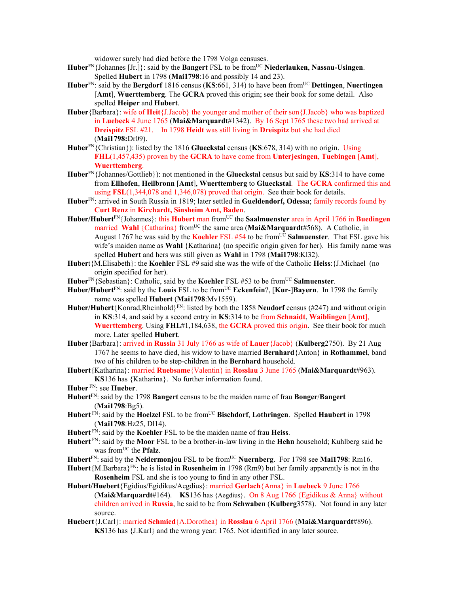widower surely had died before the 1798 Volga censuses.

- **Huber**FN{Johannes [Jr.]}: said by the **Bangert** FSL to be fromUC **Niederlauken**, **Nassau-Usingen**. Spelled **Hubert** in 1798 (**Mai1798**:16 and possibly 14 and 23).
- **Huber**FN: said by the **Bergdorf** 1816 census (**KS**:661, 314) to have been fromUC **Dettingen**, **Nuertingen** [**Amt**], **Wuerttemberg**. The **GCRA** proved this origin; see their book for some detail. Also spelled **Heiper** and **Hubert**.
- **Huber**{Barbara}: wife of **Heit**{J.Jacob} the younger and mother of their son{J.Jacob} who was baptized in **Luebeck** 4 June 1765 (**Mai&Marquardt**#1342). By 16 Sept 1765 these two had arrived at **Dreispitz** FSL #21. In 1798 **Heidt** was still living in **Dreispitz** but she had died (**Mai1798:**Dr09).
- **Huber**FN{Christian}): listed by the 1816 **Glueckstal** census (**KS**:678, 314) with no origin. Using **FHL**(1,457,435) proven by the **GCRA** to have come from **Unterjesingen**, **Tuebingen** [**Amt**], **Wuerttemberg**.
- **Huber**FN{Johannes/Gottlieb}): not mentioned in the **Glueckstal** census but said by **KS**:314 to have come from **Ellhofen**, **Heilbronn** [**Amt**], **Wuerttemberg** to **Glueckstal**. The **GCRA** confirmed this and using **FSL**(1,344,078 and 1,346,078) proved that origin. See their book for details.
- **Huber**FN: arrived in South Russia in 1819; later settled in **Gueldendorf, Odessa**; family records found by **Curt Renz** in **Kirchardt, Sinsheim Amt, Baden**.
- **Huber/Hubert**FN{Johannes}: this **Hubert** man fromUC the **Saalmuenster** area in April 1766 in **Buedingen** married **Wahl** {Catharina} from<sup>UC</sup> the same area (Mai&Marquardt#568). A Catholic, in August 1767 he was said by the **Koehler** FSL #54 to be from<sup>UC</sup> Salmuenster. That FSL gave his wife's maiden name as **Wahl** {Katharina} (no specific origin given for her). His family name was spelled **Hubert** and hers was still given as **Wahl** in 1798 (**Mai1798**:Kl32).
- **Huber**t{M.Elisabeth}: the **Koehler** FSL #9 said she was the wife of the Catholic **Heiss**:{J.Michael (no origin specified for her).
- Huber<sup>FN</sup>{Sebastian}: Catholic, said by the **Koehler** FSL #53 to be from<sup>UC</sup> Salmuenster.
- **Huber/Hubert**FN: said by the **Louis** FSL to be fromUC **Eckenfein**?, [**Kur**-]**Bayern**. In 1798 the family name was spelled **Hubert** (**Mai1798**:Mv1559).
- **Huber/Hubert**{Konrad,Rheinhold}FN: listed by both the 1858 **Neudorf** census (#247) and without origin in **KS**:314, and said by a second entry in **KS**:314 to be from **Schnaidt**, **Waiblingen** [**Amt**], **Wuerttemberg**. Using **FHL**#1,184,638, the **GCRA** proved this origin. See their book for much more. Later spelled **Hubert**.
- **Huber**{Barbara}: arrived in **Russia** 31 July 1766 as wife of **Lauer**{Jacob} (**Kulberg**2750). By 21 Aug 1767 he seems to have died, his widow to have married **Bernhard**{Anton} in **Rothammel**, band two of his children to be step-children in the **Bernhard** household.
- **Hubert**{Katharina}: married **Ruebsame**{Valentin} in **Rosslau** 3 June 1765 (**Mai&Marquardt**#963). **KS**136 has {Katharina}. No further information found.

- **Hubert**FN: said by the 1798 **Bangert** census to be the maiden name of frau **Bonger**/**Bangert** (**Mai1798**:Bg5).
- **Hubert** FN: said by the **Hoelzel** FSL to be fromUC **Bischdorf**, **Lothringen**.Spelled **Haubert** in 1798 (**Mai1798**:Hz25, Dl14).
- **Hubert** FN: said by the **Koehler** FSL to be the maiden name of frau **Heiss**.
- **Hubert** FN: said by the **Moor** FSL to be a brother-in-law living in the **Hehn** household; Kuhlberg said he was from<sup>UC</sup> the **Pfalz**.
- Hubert<sup>FN</sup>: said by the **Neidermonjou** FSL to be from<sup>UC</sup> **Nuernberg**. For 1798 see **Mai1798**: Rm16.
- **Hubert**{M.Barbara}FN: he is listed in **Rosenheim** in 1798 (Rm9) but her family apparently is not in the **Rosenheim** FSL and she is too young to find in any other FSL.
- **Hubert/Huebert**{Egidius/Egidikus/Aegdius}: married **Gerlach**{Anna} in **Luebeck** 9 June 1766 (**Mai&Marquardt**#164). **KS**136 has {Aegdius}. On 8 Aug 1766 {Egidikus & Anna} without children arrived in **Russia**, he said to be from **Schwaben** (**Kulberg**3578). Not found in any later source.
- **Huebert**{J.Carl}: married **Schmied**{A.Dorothea} in **Rosslau** 6 April 1766 (**Mai&Marquardt**#896). **KS**136 has {J.Karl} and the wrong year: 1765. Not identified in any later source.

**Huber** FN: see **Hueber**.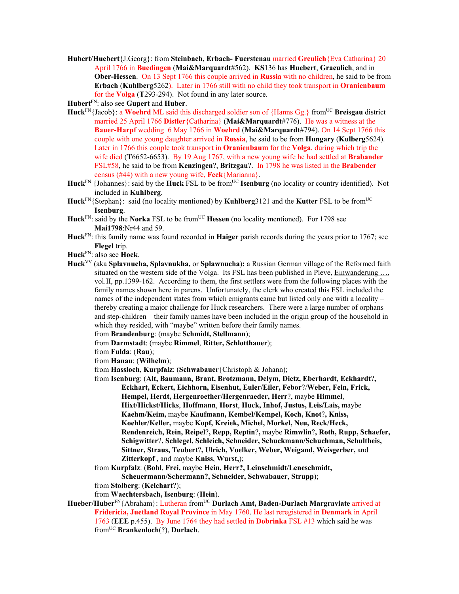**Hubert/Huebert**{J.Georg}: from **Steinbach, Erbach- Fuerstenau** married **Greulich**{Eva Catharina} 20 April 1766 in **Buedingen** (**Mai&Marquardt**#562). **KS**136 has **Huebert**, **Graeulich**, and in **Ober-Hessen**. On 13 Sept 1766 this couple arrived in **Russia** with no children, he said to be from **Erbach** (**Kuhlberg**5262). Later in 1766 still with no child they took transport in **Oranienbaum**  for the **Volga** (**T**293-294). Not found in any later source.

**Hubert**FN: also see **Gupert** and **Huber**.

- Huck<sup>FN</sup>{Jacob}: a Woehrd ML said this discharged soldier son of {Hanns Gg.} from<sup>UC</sup> Breisgau district married 25 April 1766 **Distler**{Catharina} (**Mai&Marquardt**#776). He was a witness at the **Bauer-Harpf** wedding 6 May 1766 in **Woehrd** (**Mai&Marquardt**#794). On 14 Sept 1766 this couple with one young daughter arrived in **Russia**, he said to be from **Hungary** (**Kulberg**5624). Later in 1766 this couple took transport in **Oranienbaum** for the **Volga**, during which trip the wife died (**T**6652-6653). By 19 Aug 1767, with a new young wife he had settled at **Brabander**  FSL#58, he said to be from **Kenzingen**?, **Britzgau**?. In 1798 he was listed in the **Brabender** census (#44) with a new young wife, **Feck**{Marianna}.
- **Huck**<sup>FN</sup> {Johannes}: said by the **Huck** FSL to be from<sup>UC</sup> **Isenburg** (no locality or country identified). Not included in **Kuhlberg**.
- **Huck**FN{Stephan}: said (no locality mentioned) by **Kuhlberg**3121 and the **Kutter** FSL to be fromUC **Isenburg**.
- Huck<sup>FN</sup>: said by the **Norka** FSL to be from<sup>UC</sup> Hessen (no locality mentioned). For 1798 see **Mai1798**:Nr44 and 59.
- **Huck**FN: this family name was found recorded in **Haiger** parish records during the years prior to 1767; see **Flegel** trip.
- **Huck**FN: also see **Hock**.
- **Huck**VV (aka **Splavnucha, Splavnukha,** or **Splawnucha**)**:** a Russian German village of the Reformed faith situated on the western side of the Volga. Its FSL has been published in Pleve, Einwanderung …, vol.II, pp.1399-162. According to them, the first settlers were from the following places with the family names shown here in parens. Unfortunately, the clerk who created this FSL included the names of the independent states from which emigrants came but listed only one with a locality – thereby creating a major challenge for Huck researchers. There were a large number of orphans and step-children – their family names have been included in the origin group of the household in which they resided, with "maybe" written before their family names.

from **Brandenburg**: (maybe **Schmidt, Stellmann**);

- from **Darmstadt**: (maybe **Rimmel**, **Ritter, Schlotthauer**);
- from **Fulda**: (**Rau**);
- from **Hanau**: (**Wilhelm**);
- from **Hassloch**, **Kurpfalz**: (**Schwabauer**{Christoph & Johann);
- from **Isenburg**: (**Alt, Baumann, Brant, Brotzmann, Delym, Dietz, Eberhardt, Eckhardt**?**, Eckhart, Eckert, Eichhorn, Eisenhut, Euler/Eiler, Febor**?/**Weber, Fein, Frick, Hempel, Herdt, Hergenroether/Hergenraeder, Herr**?, maybe **Himmel**, **Hixt/Hickst/Hicks**, **Hoffmann**, **Horst**, **Huck, Inhof, Justus, Leis/Lais,** maybe **Kaehm/Keim,** maybe **Kaufmann, Kembel/Kempel, Koch, Knot**?**, Kniss, Koehler/Keller,** maybe **Kopf, Kreiek, Michel, Morkel, Neu, Reck/Heck, Rendenreich, Rein, Reipel**?**, Repp, Reptin**?**,** maybe **Rimwlin**?**, Roth, Rupp, Schaefer, Schigwitter**?**, Schlegel, Schleich, Schneider, Schuckmann/Schuchman, Schultheis, Sittner, Straus, Teubert**?**, Ulrich, Voelker, Weber, Weigand, Weisgerber,** and **Zitterkopf** , and maybe **Kniss**, **Wurst,**);
- from **Kurpfalz**: (**Bohl**, **Frei,** maybe **Hein, Herr?, Leinschmidt/Leneschmidt,**

**Scheuermann/Schermann?, Schneider, Schwabauer**, **Strupp**);

from **Stolberg**: (**Kelchart**?);

from **Waechtersbach, Isenburg**: (**Hein**).

**Hueber/Huber**FN{Abraham}: Lutheran fromUC **Durlach Amt, Baden-Durlach Margraviate** arrived at **Fridericia, Juetland Royal Province** in May 1760. He last reregistered in **Denmark** in April 1763 (**EEE** p.455). By June 1764 they had settled in **Dobrinka** FSL #13 which said he was fromUC **Brankenloch**(?), **Durlach**.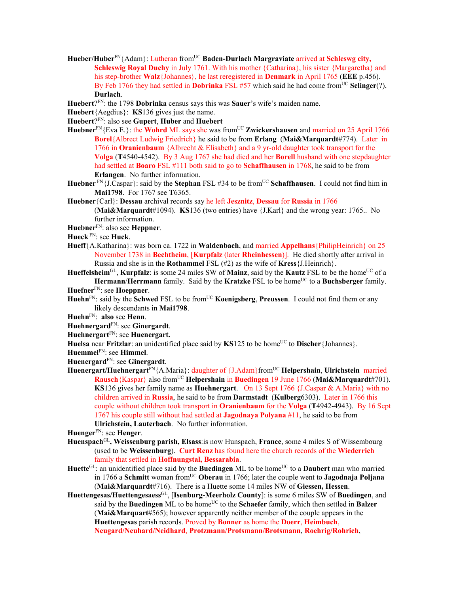- Hueber/Huber<sup>FN</sup>{Adam}: Lutheran from<sup>UC</sup> Baden-Durlach Margraviate arrived at Schleswg city, **Schleswig Royal Duchy** in July 1761. With his mother {Catharina}, his sister {Margaretha} and his step-brother **Walz**{Johannes}, he last reregistered in **Denmark** in April 1765 (**EEE** p.456). By Feb 1766 they had settled in **Dobrinka** FSL #57 which said he had come from<sup>UC</sup> Selinger(?), **Durlach**.
- **Huebert**?FN: the 1798 **Dobrinka** census says this was **Sauer**'s wife's maiden name.
- **Huebert**{Aegdius}: **KS**136 gives just the name.
- **Huebert**?FN: also see **Gupert**, **Huber** and **Huebert**
- Huebner<sup>FN</sup>{Eva E.}: the **Wohrd** ML says she was from<sup>UC</sup> **Zwickershausen** and married on 25 April 1766 **Borel**{Albrect Ludwig Friedrich} he said to be from **Erlang** (**Mai&Marquardt**#774). Later in 1766 in **Oranienbaum** {Albrecht & Elisabeth} and a 9 yr-old daughter took transport for the **Volga** (**T**4540-4542). By 3 Aug 1767 she had died and her **Borell** husband with one stepdaughter had settled at **Boaro** FSL #111 both said to go to **Schaffhausen** in 1768, he said to be from **Erlangen**. No further information.
- **Huebner** FN{J.Caspar}: said by the **Stephan** FSL #34 to be from<sup>UC</sup> **Schaffhausen**. I could not find him in **Mai1798**. For 1767 see **T**6365.
- **Huebner**{Carl}: **Dessau** archival records say he left **Jesznitz**, **Dessau** for **Russia** in 1766

(**Mai&Marquardt**#1094). **KS**136 (two entries) have {J.Karl} and the wrong year: 1765.. No further information.

**Huebner**FN: also see **Heppner**.

- **Hueck** FN: see **Huck**.
- **Hueff**{A.Katharina}: was born ca. 1722 in **Waldenbach**, and married **Appelhans**{PhilipHeinrich} on 25 November 1738 in **Bechtheim**, [**Kurpfalz** (later **Rheinhessen**)]. He died shortly after arrival in Russia and she is in the **Rothammel** FSL (#2) as the wife of **Kress**{J.Heinrich}.

Hueffelsheim<sup>GL</sup>, **Kurpfalz**: is some 24 miles SW of Mainz, said by the **Kautz** FSL to be the home<sup>UC</sup> of a **Hermann/Herrmann** family. Said by the **Kratzke** FSL to be home<sup>UC</sup> to a **Buchsberger** family.

```
HuefnerFN: see Hoeppner.
```
- **Huehn**FN: said by the **Schwed** FSL to be fromUC **Koenigsberg**, **Preussen**. I could not find them or any likely descendants in **Mai1798**.
- **Huehn**FN: **also** see **Henn**.

**Huehnergard**FN: see **Ginergardt**.

- **Huehnergart**FN: see **Huenergart.**
- **Huelsa** near **Fritzlar**: an unidentified place said by **KS**125 to be home<sup>UC</sup> to **Discher**{Johannes}.
- **Huemmel**FN: see **Himmel**.
- **Huenergard**FN: see **Ginergardt**.
- Huenergart/Huehnergart<sup>FN</sup>{A.Maria}: daughter of {J.Adam}from<sup>UC</sup> **Helpershain**, **Ulrichstein** married **Rausch**{Kaspar} also fromUC **Helpershain** in **Buedingen** 19 June 1766 (**Mai&Marquardt**#701). **KS**136 gives her family name as **Huehnergart**. On 13 Sept 1766 {J.Caspar & A.Maria} with no children arrived in **Russia**, he said to be from **Darmstadt** (**Kulberg**6303). Later in 1766 this couple without children took transport in **Oranienbaum** for the **Volga** (**T**4942-4943). By 16 Sept 1767 his couple still without had settled at **Jagodnaya Polyana** #11, he said to be from **Ulrichstein, Lauterbach**. No further information.

**Huenger**FN: see **Henger**.

- **Huenspach**GL**, Weissenburg parish, Elsass**:is now Hunspach, **France**, some 4 miles S of Wissembourg (used to be **Weissenburg**). **Curt Renz** has found here the church records of the **Wiederrich** family that settled in **Hoffnungstal, Bessarabia**.
- Huette<sup>GL</sup>: an unidentified place said by the Buedingen ML to be home<sup>UC</sup> to a Daubert man who married in 1766 a **Schmitt** woman from<sup>UC</sup> Oberau in 1766; later the couple went to **Jagodnaja Poljana** (**Mai&Marquardt**#716). There is a Huette some 14 miles NW of **Giessen, Hessen**.
- **Huettengesas/Huettengesaess**GL, [**Isenburg-Meerholz County**]: is some 6 miles SW of **Buedingen**, and said by the **Buedingen** ML to be home<sup>UC</sup> to the **Schaefer** family, which then settled in **Balzer** (**Mai&Marquart**#565); however apparently neither member of the couple appears in the **Huettengesas** parish records. Proved by **Bonner** as home the **Doerr**, **Heimbuch**, **Neugard/Neuhard/Neidhard**, **Protzmann/Protsmann/Brotsmann**, **Roehrig/Rohrich**,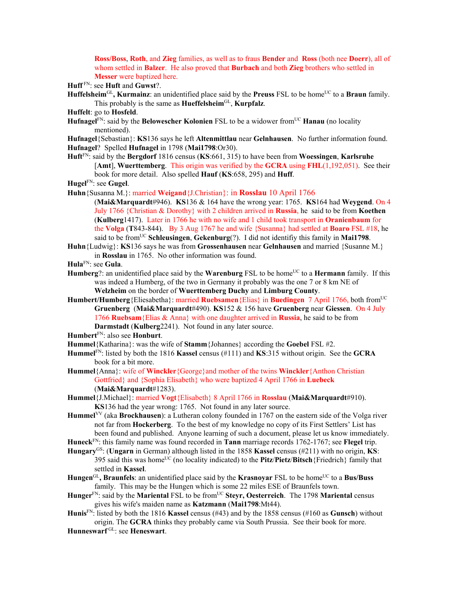**Ross/Boss**, **Roth**, and **Zieg** families, as well as to fraus **Bender** and **Ross** (both nee **Doerr**), all of whom settled in **Balzer**. He also proved that **Burbach** and both **Zieg** brothers who settled in **Messer** were baptized here.

**Huff** FN: see **Huft** and **Guwst**?.

- **Huffelsheim<sup>GL</sup>, Kurmainz**: an unidentified place said by the **Preuss** FSL to be home<sup>UC</sup> to a **Braun** family. This probably is the same as **Hueffelsheim**GL, **Kurpfalz**.
- **Huffelt**: go to **Hosfeld**.
- **Hufnagel<sup>FN</sup>: said by the <b>Belowescher Kolonien** FSL to be a widower from<sup>UC</sup> **Hanau** (no locality mentioned).
- **Hufnagel**{Sebastian}: **KS**136 says he left **Altenmittlau** near **Gelnhausen**. No further information found. **Hufnagel**? Spelled **Hufnagel** in 1798 (**Mai1798**:Or30).
- **Huft**FN: said by the **Bergdorf** 1816 census (**KS**:661, 315) to have been from **Woessingen**, **Karlsruhe** [**Amt**], **Wuerttemberg**. This origin was verified by the **GCRA** using **FHL**(1,192,051). See their book for more detail. Also spelled **Hauf** (**KS**:658, 295) and **Huff**.
- **Hugel**FN: see **Gugel**.
- **Huhn**{Susanna M.}: married **Weigand**{J.Christian}: in **Rosslau** 10 April 1766
	- (**Mai&Marquardt**#946). **KS**136 & 164 have the wrong year: 1765. **KS**164 had **Weygend**. On 4 July 1766 {Christian & Dorothy} with 2 children arrived in **Russia**, he said to be from **Koethen**  (**Kulberg**1417). Later in 1766 he with no wife and 1 child took transport in **Oranienbaum** for the **Volga** (**T**843-844). By 3 Aug 1767 he and wife {Susanna} had settled at **Boaro** FSL #18, he said to be fromUC **Schleusingen**, **Gekenburg**(?). I did not identifiy this family in **Mai1798**.
- **Huhn**{Ludwig}: **KS**136 says he was from **Grossenhausen** near **Gelnhausen** and married {Susanne M.} in **Rosslau** in 1765. No other information was found.
- **Hula**FN: see **Gula**.
- **Humberg**?: an unidentified place said by the **Warenburg** FSL to be home<sup>UC</sup> to a **Hermann** family. If this was indeed a Humberg, of the two in Germany it probably was the one 7 or 8 km NE of **Welzheim** on the border of **Wuerttemberg Duchy** and **Limburg County**.
- **Humbert/Humberg**{Eliesabetha}: married **Ruebsamen**{Elias} in **Buedingen** 7 April 1766, both fromUC **Gruenberg** (**Mai&Marquardt**#490). **KS**152 & 156 have **Gruenberg** near **Giessen**. On 4 July 1766 **Ruebsam**{Elias & Anna} with one daughter arrived in **Russia**, he said to be from **Darmstadt** (**Kulberg**2241). Not found in any later source.

**Humbert**FN: also see **Honburt**.

- **Hummel**{Katharina}: was the wife of **Stamm**{Johannes} according the **Goebel** FSL #2.
- **Hummel**FN: listed by both the 1816 **Kassel** census (#111) and **KS**:315 without origin. See the **GCRA** book for a bit more.
- **Hummel**{Anna}: wife of **Winckler**{George}and mother of the twins **Winckler**{Anthon Christian Gottfried} and {Sophia Elisabeth} who were baptized 4 April 1766 in **Luebeck** (**Mai&Marquardt**#1283).
- **Hummel**{J.Michael}: married **Vogt**{Elisabeth} 8 April 1766 in **Rosslau** (**Mai&Marquardt**#910). **KS**136 had the year wrong: 1765. Not found in any later source.

**Hummel**VV (aka **Brockhausen**): a Lutheran colony founded in 1767 on the eastern side of the Volga river not far from **Hockerberg**. To the best of my knowledge no copy of its First Settlers' List has been found and published. Anyone learning of such a document, please let us know immediately.

**Huneck**FN: this family name was found recorded in **Tann** marriage records 1762-1767; see **Flegel** trip. **Hungary**GS: (**Ungarn** in German) although listed in the 1858 **Kassel** census (#211) with no origin, **KS**:

- 395 said this was homeUC (no locality indicated) to the **Pitz**/**Pietz**/**Bitsch**{Friedrich} family that settled in **Kassel**.
- **Hungen<sup>GL</sup>, Braunfels**: an unidentified place said by the **Krasnovar** FSL to be home<sup>UC</sup> to a **Bus/Buss** family. This may be the Hungen which is some 22 miles ESE of Braunfels town.
- **Hunger**FN: said by the **Mariental** FSL to be fromUC **Steyr, Oesterreich**. The 1798 **Mariental** census gives his wife's maiden name as **Katzmann** (**Mai1798**:Mt44).
- **Hunis**FN: listed by both the 1816 **Kassel** census (#43) and by the 1858 census (#160 as **Gunsch**) without origin. The **GCRA** thinks they probably came via South Prussia. See their book for more.

**Hunneswarf** GL: see **Heneswart**.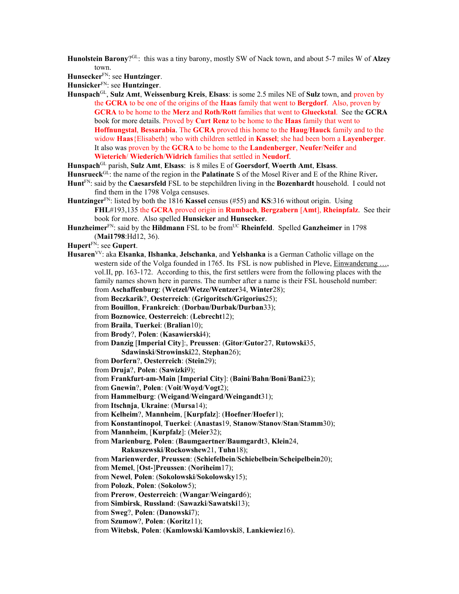**Hunolstein Barony**?GL: this was a tiny barony, mostly SW of Nack town, and about 5-7 miles W of **Alzey** town.

**Hunsecker**FN: see **Huntzinger**.

**Hunsicker**FN: see **Huntzinger**.

**Hunspach**GL, **Sulz Amt**, **Weissenburg Kreis**, **Elsass**: is some 2.5 miles NE of **Sulz** town, and proven by the **GCRA** to be one of the origins of the **Haas** family that went to **Bergdorf**. Also, proven by **GCRA** to be home to the **Merz** and **Roth/Rott** families that went to **Glueckstal**. See the **GCRA** book for more details. Proved by **Curt Renz** to be home to the **Haas** family that went to **Hoffnungstal**, **Bessarabia**. The **GCRA** proved this home to the **Haug**/**Hauck** family and to the widow **Haas**{Elisabeth} who with children settled in **Kassel**; she had been born a **Layenberger**. It also was proven by the **GCRA** to be home to the **Landenberger**, **Neufer**/**Neifer** and **Wieterich**/ **Wiederich**/**Widrich** families that settled in **Neudorf**.

**Hunspach**GL parish, **Sulz Amt**, **Elsass**: is 8 miles E of **Goersdorf**, **Woerth Amt**, **Elsass**.

**Hunsrueck**GL: the name of the region in the **Palatinate** S of the Mosel River and E of the Rhine River**.**

- **Hunt**FN: said by the **Caesarsfeld** FSL to be stepchildren living in the **Bozenhardt** household. I could not find them in the 1798 Volga censuses.
- **Huntzinger**FN: listed by both the 1816 **Kassel** census (#55) and **KS**:316 without origin. Using **FHL**#193,135 the **GCRA** proved origin in **Rumbach**, **Bergzabern** [**Amt**], **Rheinpfalz**. See their book for more. Also spelled **Hunsicker** and **Hunsecker**.
- **Hunzheimer**<sup>FN</sup>: said by the **Hildmann** FSL to be from<sup>UC</sup> **Rheinfeld**. Spelled **Ganzheimer** in 1798 (**Mai1798**:Hd12, 36).
- **Hupert**FN: see **Gupert**.
- **Husaren**VV: aka **Elsanka**, **Ilshanka**, **Jelschanka**, and **Yelshanka** is a German Catholic village on the western side of the Volga founded in 1765. Its FSL is now published in Pleve, Einwanderung ..., vol.II, pp. 163-172. According to this, the first settlers were from the following places with the family names shown here in parens. The number after a name is their FSL household number: from **Aschaffenburg**: (**Wetzel/Wetze/Wentzer**34, **Winter**28);

from **Beczkarik**?, **Oesterreich**: (**Grigoritsch/Grigorius**25);

- from **Bouillon**, **Frankreich**: (**Dorbau/Durbak/Durban**33);
- from **Boznowice**, **Oesterreich**: (**Lebrecht**12);
- from **Braila**, **Tuerkei**: (**Bralian**10);

from **Brody**?, **Polen**: (**Kasawierski**4);

from **Danzig** [**Imperial City**]:, **Preussen**: (**Gitor**/**Gutor**27, **Rutowski**35, **Sdawinski**/**Strowinski**22, **Stephan**26);

from **Dorfern**?, **Oesterreich**: (**Stein**29);

from **Druja**?, **Polen**: (**Sawizki**9);

from **Frankfurt-am-Main** [**Imperial City**]: (**Baini**/**Bahn**/**Boni**/**Bani**23);

from **Gnewin**?, **Polen**: (**Voit**/**Woyd**/**Vogt**2);

from **Hammelburg**: (**Weigand**/**Weingard**/**Weingandt**31);

from **Itschnja**, **Ukraine**: (**Mursa**14);

from **Kelheim**?, **Mannheim**, [**Kurpfalz**]: (**Hoefner**/**Hoefer**1);

from **Konstantinopol**, **Tuerkei**: (**Anastas**19, **Stanow**/**Stanov**/**Stan**/**Stamm**30);

from **Mannheim**, [**Kurpfalz**]: (**Meier**32);

from **Marienburg**, **Polen**: (**Baumgaertner**/**Baumgardt**3, **Klein**24,

**Rakuszewski**/**Rockowshew**21, **Tuhn**18);

from **Marienwerder**, **Preussen**: (**Schiefelbein**/**Schiebelbein**/**Scheipelbein**20);

from **Memel**, [**Ost-**]**Preussen**: (**Noriheim**17);

from **Newel**, **Polen**: (**Sokolowski**/**Sokolowsky**15);

from **Polozk**, **Polen**: (**Sokolow**5);

from **Prerow**, **Oesterreich**: (**Wangar**/**Weingard**6);

from **Simbirsk**, **Russland**: (**Sawazki**/**Sawatski**13);

from **Sweg**?, **Polen**: (**Danowski**7);

from **Szumow**?, **Polen**: (**Koritz**11);

from **Witebsk**, **Polen**: (**Kamlowski**/**Kamlovski**8, **Lankiewiez**16).